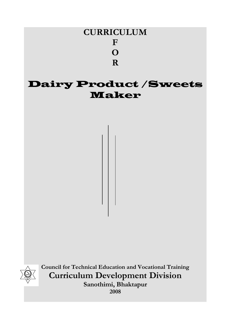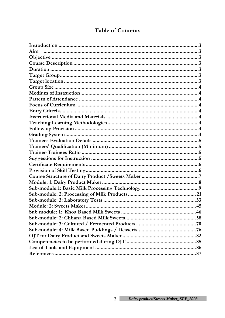| Aim |  |
|-----|--|
|     |  |
|     |  |
|     |  |
|     |  |
|     |  |
|     |  |
|     |  |
|     |  |
|     |  |
|     |  |
|     |  |
|     |  |
|     |  |
|     |  |
|     |  |
|     |  |
|     |  |
|     |  |
|     |  |
|     |  |
|     |  |
|     |  |
|     |  |
|     |  |
|     |  |
|     |  |
|     |  |
|     |  |
|     |  |
|     |  |
|     |  |
|     |  |
|     |  |
|     |  |

# **Table of Contents**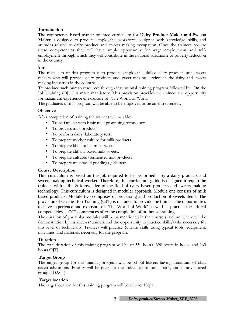### **Introduction**

The competency based market oriented curriculum for **Dairy Product Maker and Sweets Maker** is designed to produce employable workforce equipped with knowledge, skills, and attitudes related to dairy product and sweets making occupation. Once the trainees acquire these competencies they will have ample opportunity for wage employment and selfemployment through which they will contribute in the national streamline of poverty reduction in the country.

### **Aim**

The main aim of this program is to produce employable skilled dairy products and sweets makers who will provide dairy products and sweet making services in the dairy and sweets making industries in the country.

To produce such human resources through institutional training program followed by "On the Job Training (OJT)" is made mandatory. This provision provides the trainees the opportunity for maximum experience & exposure of "The World of Work."

The graduates of this program will be able to be employed or be an entrepreneur.

### **Objective**

After completion of training the trainees will be able:

- To be familiar with basic milk processing technology
- To process milk products
- To perform dairy laboratory tests
- To prepare mother culture for milk products
- To prepare khoa based milk sweets
- To prepare chhana based milk sweets.
- To prepare cultured/fermented mik products
- To prepare milk based puddings / desserts

#### **Course Description**

This curriculum is based on the job required to be performed by a dairy products and sweets making technical worker. Therefore, this curriculum guide is designed to equip the trainees with skills & knowledge of the field of dairy based products and sweets making technology. This curriculum is designed in modular approach. Module one consists of milk based products. Module two comprises of processing and production of sweets items. The provision of On-the- Job Training (OJT) is included to provide the trainees the opportunities to have experience and exposure of "The World of Work" as well as practice the critical competencies. OJT commences after the completion of in- house training.

The duration of particular modules will be as mentioned in the course structure. There will be demonstration by instructors/trainers and the opportunity to practice skills/tasks necessary for this level of technicians. Trainees will practice & learn skills using typical tools, equipment, machines, and materials necessary for the program.

#### **Duration**

The total duration of this training program will be of 550 hours [390 hours in house and 160 hours OJT.

#### **Target Group**

The target group for this training program will be school leavers having minimum of class seven educations. Priority will be given to the individual of rural, poor, and disadvantaged groups (DAGs).

#### **Target location**

The target location for this training program will be all over Nepal.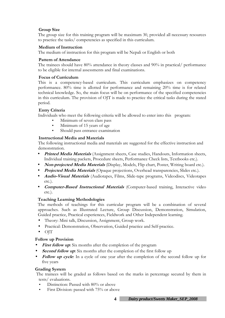### **Group Size**

The group size for this training program will be maximum 30, provided all necessary resources to practice the tasks/ competencies as specified in this curriculum.

### **Medium of Instruction**

The medium of instruction for this program will be Nepali or English or both

### **Pattern of Attendance**

The trainees should have 80% attendance in theory classes and 90% in practical/ performance to be eligible for internal assessments and final examinations.

### **Focus of Curriculum**

This is a competency-based curriculum. This curriculum emphasizes on competency performance. 80% time is allotted for performance and remaining 20% time is for related technical knowledge. So, the main focus will be on performance of the specified competencies in this curriculum. The provision of OJT is made to practice the critical tasks during the stated period.

### **Entry Criteria**

Individuals who meet the following criteria will be allowed to enter into this program:

- Minimum of seven class pass
- Minimum of 15 years of age
- Should pass entrance examination

### **Instructional Media and Materials**

The following instructional media and materials are suggested for the effective instruction and demonstration.

- **Printed Media Materials** (Assignment sheets, Case studies, Handouts, Information sheets, Individual training packets, Procedure sheets, Performance Check lists, Textbooks etc.).
- **Non-projected Media Materials** (Display, Models, Flip chart, Poster, Writing board etc.).
- **Projected Media Materials** (Opaque projections, Overhead transparencies, Slides etc.).
- **Audio-Visual Materials** (Audiotapes, Films, Slide-tape programs, Videodiscs, Videotapes etc.).
- **Computer-Based Instructional Materials** (Computer-based training, Interactive video etc.).

### **Teaching Learning Methodologies**

The methods of teachings for this curricular program will be a combination of several approaches. Such as Illustrated Lecture, Group Discussion, Demonstration, Simulation, Guided practice, Practical experiences, Fieldwork and Other Independent learning.

- Theory: Mini talk, Discussion, Assignment, Group work.
- Practical: Demonstration, Observation, Guided practice and Self-practice.
- OJT

#### **Follow up Provision**

- **First follow up:** Six months after the completion of the program
- **Second follow up:** Six months after the completion of the first follow up
- **Follow up cycle**: In a cycle of one year after the completion of the second follow up for five years

#### **Grading System**

 The trainees will be graded as follows based on the marks in percentage secured by them in tests/ evaluations.

- Distinction: Passed with 80% or above
- First Division: passed with 75% or above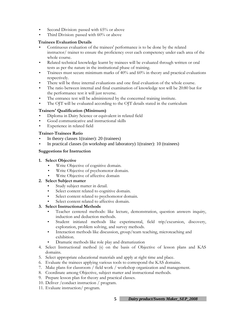- Second Division: passed with 65% or above
- Third Division: passed with 60% or above

### **Trainees Evaluation Details**

- Continuous evaluation of the trainees' performance is to be done by the related instructor/ trainer to ensure the proficiency over each competency under each area of the whole course.
- Related technical knowledge learnt by trainees will be evaluated through written or oral tests as per the nature in the institutional phase of training.
- Trainees must secure minimum marks of 40% and 60% in theory and practical evaluations respectively.
- There will be three internal evaluations and one final evaluation of the whole course.
- The ratio between internal and final examination of knowledge test will be 20:80 but for the performance test it will just reverse.
- The entrance test will be administered by the concerned training institute.
- The OJT will be evaluated according to the OJT details stated in the curriculum

### **Trainers' Qualification (Minimum)**

- Diploma in Dairy Science or equivalent in related field
- Good communicative and instructional skills
- Experience in related field

### **Trainer-Trainees Ratio**

- In theory classes 1(trainer): 20 (trainees)
- In practical classes (in workshop and laboratory) 1(trainer): 10 (trainees)

### **Suggestions for Instruction**

- **1. Select Objective** 
	- Write Objective of cognitive domain.
	- Write Objective of psychomotor domain.
	- Write Objective of affective domain

### **2. Select Subject matter**

- Study subject matter in detail.
- Select content related to cognitive domain.
- Select content related to psychomotor domain.
- Select content related to affective domain.

### **3. Select Instructional Methods**

- Teacher centered methods: like lecture, demonstration, question answers inquiry, induction and deduction methods.
- Student initiated methods like experimental, field trip/excursion, discovery, exploration, problem solving, and survey methods.
- Interaction methods like discussion, group/team teaching, microteaching and exhibition.
- Dramatic methods like role play and dramatization
- 4. Select Instructional method (s) on the basis of Objective of lesson plans and KAS domains.
- 5. Select appropriate educational materials and apply at right time and place.
- 6. Evaluate the trainees applying various tools to correspond the KAS domains.
- 7. Make plans for classroom / field work / workshop organization and management.
- 8. Coordinate among Objective, subject matter and instructional methods.
- 9. Prepare lesson plan for theory and practical classes.
- 10. Deliver /conduct instruction / program.
- 11. Evaluate instruction/ program.

**5** *Dairy product/Sweets Maker\_SEP\_2008*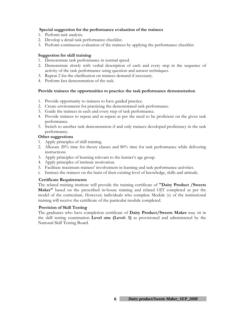#### **Special suggestion for the performance evaluation of the trainees**

- 1. Perform task analysis.
- 2. Develop a detail task performance checklist.
- 3. Perform continuous evaluation of the trainees by applying the performance checklist.

### **Suggestion for skill training**

- 1. Demonstrate task performance in normal speed.
- 2. Demonstrate slowly with verbal description of each and every step in the sequence of activity of the task performance using question and answer techniques.
- 3. Repeat 2 for the clarification on trainees demand if necessary.
- 4. Perform fast demonstration of the task.

### **Provide trainees the opportunities to practice the task performance demonstration**

- 1. Provide opportunity to trainees to have guided practice.
- 2. Create environment for practicing the demonstrated task performance.
- 3. Guide the trainees in each and every step of task performance.
- 4. Provide trainees to repeat and re-repeat as per the need to be proficient on the given task performance.
- 5. Switch to another task demonstration if and only trainees developed proficiency in the task performance.

#### **Other suggestions**

- 1. Apply principles of skill training.
- 2. Allocate 20% time for theory classes and 80% time for task performance while delivering instructions.
- 3. Apply principles of learning relevant to the learner's age group.
- 4. Apply principles of intrinsic motivation.
- 5. Facilitate maximum trainees' involvement in learning and task performance activities.
- 6. Instruct the trainees on the basis of their existing level of knowledge, skills and attitude.

#### **Certificate Requirements**

The related training institute will provide the training certificate of **"Dairy Product /Sweets Maker"** based on the prescribed in-house training and related OJT completed as per the model of the curriculum. However; individuals who complete Module (s) of the institutional training will receive the certificate of the particular module completed.

#### **Provision of Skill Testing**

The graduates who have completion certificate of **Dairy Product/Sweets Maker** may sit in the skill testing examination **Level one (Level- 1)** as provisioned and administered by the National Skill Testing Board.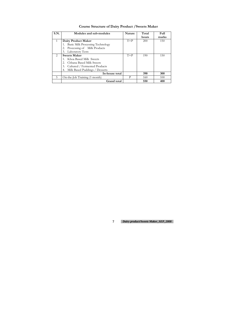# **Course Structure of Dairy Product /Sweets Maker**

| S.N.          | Modules and sub-modules              | <b>Nature</b> | Total | Full  |
|---------------|--------------------------------------|---------------|-------|-------|
|               |                                      |               | hours | marks |
| $\mathbf{1}$  | Dairy Product Maker                  | $T+P$         | 200   | 150   |
|               | 1. Basic Milk Processing Technology  |               |       |       |
|               | 2. Processing of Milk Products       |               |       |       |
|               | 3. Laboratory Tests                  |               |       |       |
| $\mathcal{L}$ | <b>Sweets Maker</b>                  | $T+P$         | 190   | 150   |
|               | Khoa Based Milk Sweets               |               |       |       |
|               | Chhana Based Milk Sweets             |               |       |       |
|               | 3. Cultured / Fermented Products     |               |       |       |
|               | Milk Based Puddings / Desserts<br>4. |               |       |       |
|               | In-house total                       |               | 390   | 300   |
| 5             | On-the-Job Training (1 month)        | P             | 160   | 100   |
|               | <b>Grand</b> total                   |               | 550   | 400   |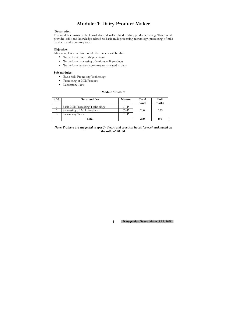# **Module: 1: Dairy Product Maker**

#### **Description:**

This module consists of the knowledge and skills related to dairy products making. This module provides skills and knowledge related to basic milk processing technology, processing of milk products, and laboratory tests.

#### **Objective:**

After completion of this module the trainees will be able:

- To perform basic milk processing
- To perform processing of various milk products
- To perform various laboratory tests related to dairy

#### **Sub-modules:**

- Basic Milk Processing Technology
- Processing of Milk Products
- Laboratory Tests

#### **Module Structure**

| S.N. | Sub-modules                      | <b>Nature</b> | Total<br>hours | Full<br>marks |
|------|----------------------------------|---------------|----------------|---------------|
|      | Basic Milk Processing Technology | $T+P$         |                |               |
|      | Processing of Milk Products      | $T+P$         | 200            | 150           |
|      | Laboratory Tests                 | $T+P$         |                |               |
|      | Total                            |               | <b>200</b>     | 150           |

#### *Note: Trainers are suggested to specify theory and practical hours for each task based on the ratio of 20: 80.*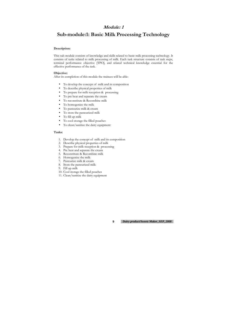### **Module: 1**

# **Sub-module:1: Basic Milk Processing Technology**

#### **Description:**

- To develop the concept of milk and its composition
- To describe physical properties of milk
- To prepare for milk reception & processing
- To pre heat and separate the cream
- To reconstitute & Recombine milk
- To homogenize the milk
- To pasteurize milk & cream
- To store the pasteurized milk
- To fill up milk
- To cool storage the filled pouches
- To clean/sanitize the dairy equipment

This sub module consists of knowledge and skills related to basic milk processing technology. It consists of tasks related to milk processing of milk. Each task structure consists of task steps, terminal performance objective [TPO], and related technical knowledge essential for the effective performance of the task.

#### **Objective:**

After its completion of this module the trainees will be able:

#### **Tasks:**

- 1. Develop the concept of milk and its composition
- 2. Describe physical properties of milk
- 3. Prepare for milk reception & processing
- 4. Pre heat and separate the cream
- 5. Reconstitute & Recombine milk
- 6. Homogenize the milk
- 7. Pasteurize milk & cream
- 8. Store the pasteurized milk
- 9. Fill up milk
- 10. Cool storage the filled pouches
- 11. Clean/sanitize the dairy equipment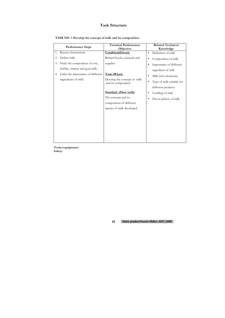**TASK NO. 1 Develop the concept of milk and its composition.** 

|    | <b>Performance Steps</b>           | <b>Terminal Performance</b><br>Objective                                                                     | <b>Related Technical</b><br>Knowledge                            |
|----|------------------------------------|--------------------------------------------------------------------------------------------------------------|------------------------------------------------------------------|
| 1. | Receive Instructions               | Condition(Given):                                                                                            | Definition of milk<br>$\bullet$                                  |
| 2. | Define milk                        | Related books, manuals and                                                                                   | Composition of milk<br>$\bullet$                                 |
| 3. | Study the composition of cow,      | supplies                                                                                                     | Importance of different                                          |
|    | buffalo, human and goat milk.      |                                                                                                              | ingredient of milk                                               |
| 4. | Enlist the importance of different | Task (What):                                                                                                 | Milk and colostrums<br>$\bullet$                                 |
|    | ingredients of milk.               | Develop the concept of milk<br>and its composition                                                           | Type of milk suitable for<br>$\bullet$                           |
|    |                                    | <b>Standard</b> (How well):<br>The concept and its<br>composition of different<br>species of milk developed. | different products<br>Curdling of milk<br>Flavor defects of milk |

**Tools/equipment: Safety:**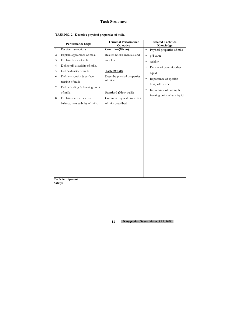|  |  | TASK NO. 2 Describe physical properties of milk. |
|--|--|--------------------------------------------------|
|--|--|--------------------------------------------------|

|    | <b>Performance Steps</b>         | <b>Terminal Performance</b><br>Objective | <b>Related Technical</b><br>Knowledge    |
|----|----------------------------------|------------------------------------------|------------------------------------------|
| 1. | Receive Instructions             | Condition(Given):                        | Physical properties of milk<br>$\bullet$ |
| 2. | Explain appearance of milk.      | Related books, manuals and               | pH value<br>$\bullet$                    |
| 3. | Explain flavor of milk.          | supplies                                 | Acidity<br>$\bullet$                     |
| 4. | Define pH & acidity of milk.     |                                          | Density of water & other                 |
| 5. | Define density of milk.          | Task (What):                             | liquid                                   |
| 6. | Define viscosity & surface       | Describe physical properties             | Importance of specific<br>$\bullet$      |
|    | tension of milk.                 | of milk.                                 | heat, salt balance                       |
| 7. | Define boiling & freezing point  |                                          | Importance of boiling &                  |
|    | of milk.                         | <b>Standard (How well):</b>              | freezing point of any liquid             |
| 8. | Explain specific heat, salt      | Common physical properties               |                                          |
|    | balance, heat stability of milk. | of milk described                        |                                          |
|    |                                  |                                          |                                          |

**Tools/equipment: Safety:**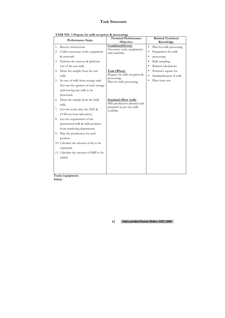**TASK NO. 3 Prepare for milk reception & processing.** 

|                | <b>Performance Steps</b>                                                                                                                                                                                                                                                                                                                                                            | <b>Terminal Performance</b><br>Objective                                                                                                                     | <b>Related Technical</b><br>Knowledge                                                                                                                                                                                                                                                  |
|----------------|-------------------------------------------------------------------------------------------------------------------------------------------------------------------------------------------------------------------------------------------------------------------------------------------------------------------------------------------------------------------------------------|--------------------------------------------------------------------------------------------------------------------------------------------------------------|----------------------------------------------------------------------------------------------------------------------------------------------------------------------------------------------------------------------------------------------------------------------------------------|
| 1.<br>2.<br>3. | Receive instructions<br>Collect necessary tools, equipment<br>& materials.<br>Perform the sensory & platform<br>test of the raw milk.<br>4. Draw the sample from the raw<br>milk.<br>5. In case of milk from storage tank<br>first run the agitator of each storage<br>tank having raw milk to be                                                                                   | Condition(Given):<br>Necessary tools, equipments<br>and materials.<br>Task (What):<br>Prepare for milk reception &<br>processing<br>Plan for milk processing | Plan for milk processing<br>$\bullet$<br>Preparation for milk<br>$\bullet$<br>processing<br>$\bullet$<br>Bulk sampling<br>$\bullet$<br>Related calculations<br>$\bullet$<br>Pearson's square for<br>$\bullet$<br>Standardization of milk.<br>$\bullet$<br>Plate form test<br>$\bullet$ |
| 7.             | processed.<br>6. Draw the sample from the bulk<br>milk.<br>Get the result after fat, SNF &<br>COB test from laboratory.<br>8. Get the requirement of the<br>pasteurized milk & milk products<br>from marketing department.<br>9. Plan the production for each<br>product.<br>10. Calculate the amount of fat to be<br>separated.<br>11. Calculate the amount of SMP to be<br>added. | <b>Standard (How well):</b><br>Milk production planned and<br>prepared as per raw milk<br>available                                                          |                                                                                                                                                                                                                                                                                        |
|                |                                                                                                                                                                                                                                                                                                                                                                                     |                                                                                                                                                              |                                                                                                                                                                                                                                                                                        |

**Tools/equipment: Safety:**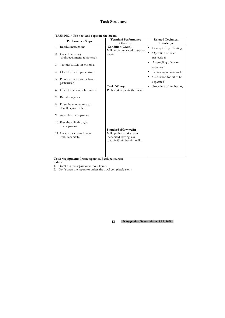|  |  | TASK NO. 4 Pre heat and separate the cream |  |
|--|--|--------------------------------------------|--|
|--|--|--------------------------------------------|--|

|                | <b>Performance Steps</b>                                                                                                                      | <b>Terminal Performance</b><br>Objective                                                                       | <b>Related Technical</b><br>Knowledge                                                                                                                                            |
|----------------|-----------------------------------------------------------------------------------------------------------------------------------------------|----------------------------------------------------------------------------------------------------------------|----------------------------------------------------------------------------------------------------------------------------------------------------------------------------------|
| 2.<br>3.<br>4. | 1. Receive instructions<br>Collect necessary<br>tools, equipment & materials.<br>Test the C.O.B. of the milk.<br>Clean the batch pasteurizer. | Condition(Given):<br>Milk to be preheated to separate<br>cream                                                 | Concept of pre heating<br>$\bullet$<br>Operation of batch<br>$\bullet$<br>pasteurizer<br>Assembling of cream<br>$\bullet$<br>separator<br>Fat testing of skim milk.<br>$\bullet$ |
| 5.<br>6.       | Pour the milk into the batch<br>pasteurizer.<br>Open the steam or hot water.                                                                  | Task (What):<br>Preheat & separate the cream.                                                                  | Calculation for fat to be<br>separated<br>Procedure of pre heating                                                                                                               |
| 7.<br>8.       | Run the agitator.<br>Raise the temperature to<br>45-50 degree Celsius.                                                                        |                                                                                                                |                                                                                                                                                                                  |
| 9.             | Assemble the separator.<br>10. Pass the milk through<br>the separator.<br>11. Collect the cream & skim<br>milk separately.                    | <b>Standard (How well):</b><br>Milk preheated & cream<br>Separated. having less<br>than 0.5% fat in skim milk. |                                                                                                                                                                                  |

**Tools/equipment:** Cream separator, Batch pasteurizer **Safety:** 

1. Don't run the separator without liquid.

2. Don't open the separator unless the bowl completely stops.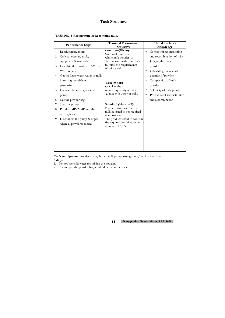| TASK NO. 5 Reconstitute & Recombine milk. |  |
|-------------------------------------------|--|
|-------------------------------------------|--|

|                | <b>Performance Steps</b>                                                                                                                                             | <b>Terminal Performance</b><br>Objective                                                                                                                                                           | <b>Related Technical</b><br>Knowledge                                                                                                                   |
|----------------|----------------------------------------------------------------------------------------------------------------------------------------------------------------------|----------------------------------------------------------------------------------------------------------------------------------------------------------------------------------------------------|---------------------------------------------------------------------------------------------------------------------------------------------------------|
| 1.<br>2.<br>3. | Receive instructions<br>Collect necessary tools,<br>equipment & materials<br>Calculate the quantity of SMP or<br>WMP required.<br>4. Get the Luke warm water or milk | Condition(Given):<br>Skim milk powder/<br>whole milk powder to<br>be reconstituted/recombined<br>to fulfill the requirements<br>of milk solid.                                                     | Concept of reconstitution<br>and recombination of milk<br>Judging the quality of<br>$\bullet$<br>powder<br>Calculating the needed<br>quantity of powder |
| 5.             | in mixing vessel/batch<br>pasteurizer.<br>Connect the mixing hoper &<br>pump.                                                                                        | Task (What):<br>Calculate the<br>required quantity of milk<br>& mix with water or milk.                                                                                                            | Composition of milk<br>powder<br>Solubility of milk powder.<br>Procedure of reconstitution<br>$\bullet$                                                 |
| 6.             | Cut the powder bag.                                                                                                                                                  |                                                                                                                                                                                                    | and recombination                                                                                                                                       |
| 7.<br>8.<br>9. | Start the pump.<br>Put the SMP/WMP into the<br>mixing hoper.<br>Disconnect the pump & hoper<br>when all powder is mixed.                                             | <b>Standard (How well):</b><br>Powder mixed with water or<br>milk & tested to get required<br>composition.<br>The product tested to confirm<br>the required combination to the<br>accuracy of 98%. |                                                                                                                                                         |

**Tools/equipment:** Powder mixing hoper, milk pump, storage tank/batch pasteurizer. **Safety:** 

1. Do not use cold water for mixing the powder.

2. Cut and put the powder bag upside down into the hoper.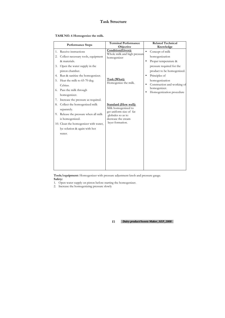|  | TASK NO. 6 Homogenize the milk. |
|--|---------------------------------|
|--|---------------------------------|

|                      | <b>Performance Steps</b>                                                                                                                                                                    | <b>Terminal Performance</b><br>Objective                                                                                                     | <b>Related Technical</b><br>Knowledge                                                                                                                 |
|----------------------|---------------------------------------------------------------------------------------------------------------------------------------------------------------------------------------------|----------------------------------------------------------------------------------------------------------------------------------------------|-------------------------------------------------------------------------------------------------------------------------------------------------------|
| 1.<br>2.<br>3.       | Receive instructions<br>Collect necessary tools, equipment<br>& materials.<br>Open the water supply in the                                                                                  | Condition(Given):<br>Whole milk and high pressure<br>homogenizer                                                                             | Concept of milk<br>$\bullet$<br>homogenization<br>Proper temperature &<br>$\bullet$<br>pressure required for the                                      |
| 4.<br>5.<br>6.<br>7. | piston chamber.<br>Run & sanitize the homogenizer.<br>Heat the milk to 65-70 deg.<br>Celsius.<br>Pass the milk through<br>homogenizer.<br>Increase the pressure as required.                | Task (What):<br>Homogenize the milk.                                                                                                         | product to be homogenized.<br>Principles of<br>homogenization<br>Construction and working of<br>$\bullet$<br>homogenizer.<br>Homogenization procedure |
| 8.                   | Collect the homogenized milk<br>separately.<br>9. Release the pressure when all milk<br>is homogenized.<br>10. Clean the homogenizer with water,<br>lye solution & again with hot<br>water. | <b>Standard (How well):</b><br>Milk homogenized to<br>get uniform size of fat<br>globules so as to<br>decrease the cream<br>layer formation. |                                                                                                                                                       |

**Tools/equipment:** Homogenizer with pressure adjustment knob and pressure gauge. **Safety:** 

- 1. Open water supply on piston before starting the homogenizer.
- 2. Increase the homogenizing pressure slowly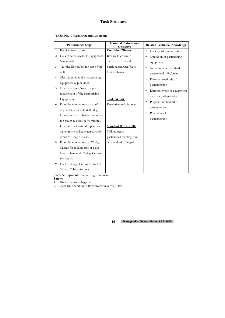| TASK NO. 7 Pasteurize milk & cream |  |
|------------------------------------|--|
|------------------------------------|--|

|    | <b>Performance Steps</b>             | <b>Terminal Performance</b><br>Objective | <b>Related Technical Knowledge</b>         |
|----|--------------------------------------|------------------------------------------|--------------------------------------------|
| 1. | Receive instructions                 | Condition(Given):                        | Concept of pasteurization<br>$\bullet$     |
| 2. | Collect necessary tools, equipment   | Raw milk/cream to                        | Operation of pasteurizing<br>$\bullet$     |
|    | & materials.                         | be pasteurized and                       | equipment                                  |
| 3. | Test the clot on boiling test of the | batch pasteurizer/plate                  | Nepal food act standard                    |
|    | milk.                                | heat exchanger.                          | pasteurized milk/cream.                    |
| 4. | Clean & sanitize the pasteurizing    |                                          | Different methods of                       |
|    | equipment & pipe lines.              |                                          | pasteurization                             |
| 5. | Open the water/steam as per          |                                          | Different types of equipments<br>$\bullet$ |
|    | requirement of the pasteurizing      |                                          | used for pasteurization                    |
|    | Equipment.                           | Task (What):                             | Purpose and benefit of<br>$\bullet$        |
| 6. | Raise the temperature up to 65       | Pasteurize milk & cream                  |                                            |
|    | deg. Celsius for milk & 80 deg       |                                          | pasteurization                             |
|    | Celsius in case of batch pasteurizer |                                          | Procedure of                               |
|    | for cream & hold for 30 minutes.     |                                          | pasteurization                             |
| 7. | Drain the hot water & open tape      | <b>Standard (How well):</b>              |                                            |
|    | water & the chilled water to cool    | Milk & cream                             |                                            |
|    | down to 4 deg. Celsius.              | pasteurized meeting food                 |                                            |
| 8. | Raise the temperature to 75 deg.     | act standard of Nepal.                   |                                            |
|    | Celsius for milk in case of plate    |                                          |                                            |
|    | heat exchanger & 85 deg .Celsius     |                                          |                                            |
|    | for cream.                           |                                          |                                            |
|    | 9. Cool to 4 deg. Celsius for milk & |                                          |                                            |
|    | 10 deg .Celsius for cream.           |                                          |                                            |

**Tools/equipment:** Pasteurizing equipment

**Safety:** 

1. Observe personal hygiene. 2. Check the operation of flow diversion valve.(FDV)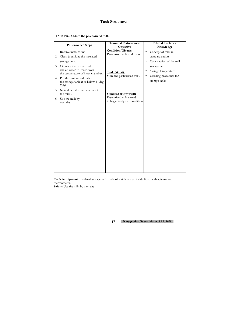|  |  |  |  | TASK NO. 8 Store the pasteurized milk. |  |
|--|--|--|--|----------------------------------------|--|
|--|--|--|--|----------------------------------------|--|

|          | <b>Performance Steps</b>                                                                      | <b>Terminal Performance</b><br>Objective                   | <b>Related Technical</b><br>Knowledge                |
|----------|-----------------------------------------------------------------------------------------------|------------------------------------------------------------|------------------------------------------------------|
| 1.<br>2. | Receive instructions<br>Clean & sanitize the insulated                                        | Condition(Given):<br>Pasteurized milk and store            | Concept of milk re-<br>$\bullet$<br>standardization  |
|          | storage tank.                                                                                 |                                                            | Construction of the milk<br>$\bullet$                |
| 3.       | Circulate the pasteurized<br>chilled water to lower down<br>the temperature of inner chamber. | Task (What):                                               | storage tank<br>Storage temperature<br>$\bullet$     |
|          | 4. Put the pasteurized milk in<br>the storage tank at or below 4 deg<br>Celsius.              | Store the pasteurized milk.                                | Cleaning procedure for<br>$\bullet$<br>storage tanks |
|          | 5. Note down the temperature of<br>the milk.                                                  | <b>Standard (How well):</b>                                |                                                      |
| 6.       | Use the milk by<br>next day.                                                                  | Pasteurized milk stored<br>in hygienically safe condition. |                                                      |
|          |                                                                                               |                                                            |                                                      |

**Tools/equipment:** Insulated storage tank made of stainless steel inside fitted with agitator and thermometer.

**Safety:** Use the milk by next day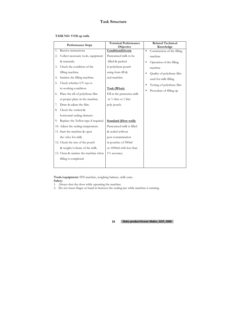| TASK NO. 9 Fill up milk. |
|--------------------------|
|--------------------------|

|    | <b>Performance Steps</b>              | <b>Terminal Performance</b><br>Objective |           | <b>Related Technical</b><br>Knowledge |
|----|---------------------------------------|------------------------------------------|-----------|---------------------------------------|
| 1. | Receive instructions                  | Condition(Given):                        | $\bullet$ | Construction of the filling           |
| 2. | Collect necessary tools, equipment    | Pasteurized milk to be                   |           | machine                               |
|    | & materials.                          | filled & packed                          | ٠         | Operation of the filling              |
| 3. | Check the condition of the            | in polythene pouch                       |           | machine                               |
|    | filling machine.                      | using form fill &                        | $\bullet$ | Quality of polythene film             |
| 4. | Sanitize the filling machine.         | seal machine                             |           | used for milk filling                 |
| 5. | Check whether UV rays is              |                                          | $\bullet$ | Testing of polythene film             |
|    | in working condition.                 | Task (What):                             |           | Procedure of filling up               |
| 6. | Place the rill of polythene film      | Fill in the pasteurize milk              |           |                                       |
|    | at proper place in the machine.       | in $\frac{1}{2}$ litre or 1 litre        |           |                                       |
| 7. | Draw & adjust the film.               | poly pouch.                              |           |                                       |
| 8. | Check the vertical &                  |                                          |           |                                       |
|    | horizontal sealing element.           |                                          |           |                                       |
| 9. | Replace the Teflon tape if required.  | <b>Standard (How well):</b>              |           |                                       |
|    | 10. Adjust the sealing temperature.   | Pasteurized milk is filled               |           |                                       |
|    | 11. Start the machine & open          | & sealed without                         |           |                                       |
|    | the valve for milk.                   | post contamination                       |           |                                       |
|    | 12. Check the size of the pouch       | in pouches of 500ml                      |           |                                       |
|    | & weight/volume of the milk.          | or 1000ml with less than                 |           |                                       |
|    | 13. Clean & sanitize the machine when | 1% accuracy.                             |           |                                       |
|    | filling is completed.                 |                                          |           |                                       |
|    |                                       |                                          |           |                                       |

**Tools/equipment:** FFS machine, weighing balance, milk crate. **Safety:** 

- 1. Always shut the door while operating the machine
- 2. Do not insert finger or hand in between the sealing jaw while machine is running.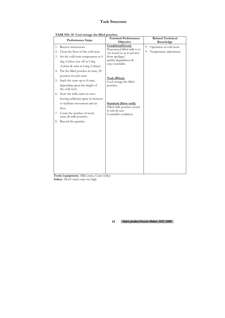|  | TASK NO. 10 Cool storage the filled pouches. |  |
|--|----------------------------------------------|--|
|--|----------------------------------------------|--|

**Tools/equipment:**. Milk crates, Crate trolley Safety: Don't stack crate too high

|          | <b>Performance Steps</b>                                                                                                   | <b>Terminal Performance</b><br>Objective                                                            | <b>Related Technical</b><br>Knowledge                                |
|----------|----------------------------------------------------------------------------------------------------------------------------|-----------------------------------------------------------------------------------------------------|----------------------------------------------------------------------|
| 1.<br>2. | Receive instructions<br>Clean the floor of the cold store.                                                                 | <b>Condition</b> (Given):<br>Pasteurized filled milk is to                                          | Operation of cold store.<br>$\bullet$<br>Temperature adjustment<br>٠ |
| 3.       | Set the cold store temperature at 4<br>deg. Celsius (cut off at 2 deg<br>.Celsius & start at 6 deg .Celsius).              | be stored so as to protect<br>from spoilage/<br>quality degradation &<br>easy countable.            |                                                                      |
| 4.<br>5. | Put the filled pouches in crate, 20<br>pouches in each crate.<br>Stack the crate up to 8 crate,                            | Task (What):<br>Cool storage the filled                                                             |                                                                      |
|          | depending upon the height of<br>the cold store.<br>6. Store the milk crates in rows<br>leaving sufficient space in between | pouches                                                                                             |                                                                      |
| 7.       | to facilitate movement and air<br>flow.<br>Count the number of stock,                                                      | <b>Standard (How well):</b><br>Filled milk pouches stored<br>in safe & easy<br>Countable condition. |                                                                      |
| 8.       | crate, & milk pouches.<br>Record the quantity.                                                                             |                                                                                                     |                                                                      |
|          |                                                                                                                            |                                                                                                     |                                                                      |
|          |                                                                                                                            |                                                                                                     |                                                                      |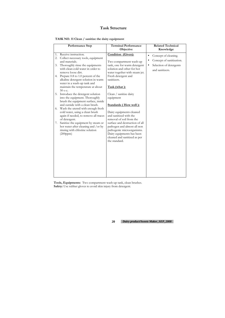|    | <b>Performance Step</b>                                                  | <b>Terminal Performance</b><br>Objective                   | <b>Related Technical</b><br>Knowledge |
|----|--------------------------------------------------------------------------|------------------------------------------------------------|---------------------------------------|
| 1. | Receive instruction.                                                     | Condition (Given):                                         | Concept of cleaning.<br>$\bullet$     |
| 2. | Collect necessary tools, equipment                                       |                                                            | Concept of sanitization.<br>$\bullet$ |
|    | and materials.                                                           | Two compartment wash-up                                    |                                       |
| 3. | Thoroughly rinse the equipments<br>with clean cold water in order to     | tank, one for warm detergent<br>solution and other for hot | Selection of detergents<br>$\bullet$  |
|    | remove loose dirt.                                                       | water together with steam jet.                             | and sanitizers.                       |
|    | 4. Prepare 0.8 to 1.0 percent of the                                     | Fresh detergent and                                        |                                       |
|    | alkaline detergent solution in warm<br>water in a wash-up tank and       | sanitizers.                                                |                                       |
|    | maintain the temperature at about                                        | Task (what):                                               |                                       |
|    | 50 о с.<br>5. Introduce the detergent solution                           |                                                            |                                       |
|    | into the equipment. Thoroughly                                           | Clean / sanitize dairy<br>equipment                        |                                       |
|    | brush the equipment surface, inside                                      |                                                            |                                       |
|    | and outside with a clean brush.                                          | <b>Standards (How well):</b>                               |                                       |
|    | 6. Wash the utensil with enough fresh                                    |                                                            |                                       |
|    | cold water, using a clean brush<br>again if needed, to remove all traces | Dairy equipments cleaned<br>and sanitized with the         |                                       |
|    | of detergent.                                                            | removal of soil from the                                   |                                       |
| 7. | Sanitize the equipment by steam or                                       | surface and destruction of all                             |                                       |
|    | hot water after cleaning and /or by                                      | pathogen and almost all non                                |                                       |
|    | rinsing with chlorine solution                                           | pathogenic microorganisms.                                 |                                       |
|    | (200ppm)                                                                 | Dairy equipments has been                                  |                                       |
|    |                                                                          | cleaned and sanitized as per<br>the standard.              |                                       |
|    |                                                                          |                                                            |                                       |
|    |                                                                          |                                                            |                                       |
|    |                                                                          |                                                            |                                       |
|    |                                                                          |                                                            |                                       |
|    |                                                                          |                                                            |                                       |
|    |                                                                          |                                                            |                                       |
|    |                                                                          |                                                            |                                       |
|    |                                                                          |                                                            |                                       |

**Tools, Equipments:** Two compartment wash-up tank, clean brushes. **Safety:** Use rubber gloves to avoid skin injury from detergent.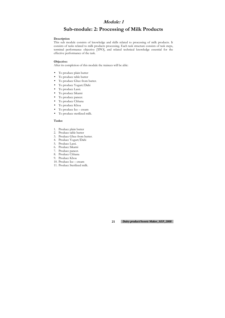## **Module: 1**

# **Sub-module: 2: Processing of Milk Products**

#### **Description**

This sub module consists of knowledge and skills related to processing of milk products. It consists of tasks related to milk products processing. Each task structure consists of task steps, terminal performance objective [TPO], and related technical knowledge essential for the effective performance of the task.

#### **Objective:**

After its completion of this module the trainees will be able:

- To produce plain butter
- To produce table butter
- To produce Ghee from butter.
- To produce Yogurt/Dahi
- To produce Lassi.
- To produce Sikarni
- To produce paneer.
- To produce Chhana
- To produce Khoa
- To produce Ice cream
- To produce sterilized milk.

#### **Tasks:**

- 1. Produce plain butter
- 2. Produce table butter
- 3. Produce Ghee from butter.
- 4. Produce Yogurt/Dahi
- 5. Produce Lassi.
- 6. Produce Sikarni
- 7. Produce paneer.
- 8. Produce Chhana
- 9. Produce Khoa
- 10. Produce Ice cream
- 11. Produce Sterilized milk.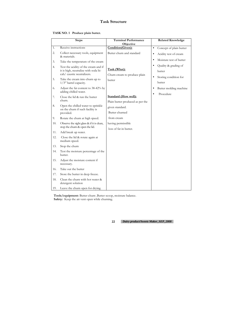| TASK NO. 1 Produce plain butter. |  |  |  |
|----------------------------------|--|--|--|
|----------------------------------|--|--|--|

**Tools/equipment:** Butter churn .Butter scoop, moisture balance. Safety: Keep the air vent open while churning.

|          | <b>Steps</b>                                                                                                                                  | <b>Terminal Performance</b><br>Objective     | <b>Related Knowledge</b>                                |
|----------|-----------------------------------------------------------------------------------------------------------------------------------------------|----------------------------------------------|---------------------------------------------------------|
| 1.       | Receive instructions                                                                                                                          | Condition(Given):                            | Concept of plain butter<br>$\bullet$                    |
| 2.       | Collect necessary tools, equipment<br>& materials.                                                                                            | Butter churn and standard                    | Acidity test of cream<br>$\bullet$                      |
| 3.       | Take the temperature of the cream                                                                                                             |                                              | Moisture test of butter                                 |
| 4.<br>5. | Test the acidity of the cream and if<br>it is high, neutralize with soda bi-<br>cab/ caustic neutralizers.<br>Take the cream into churn up to | Task (What):<br>Churn cream to produce plain | Quality & grading of<br>butter<br>Storing condition for |
|          | $1/3^{rd}$ barrel capacity.                                                                                                                   | butter                                       | butter                                                  |
| 6.       | Adjust the fat content to 38-42% by<br>adding chilled water.                                                                                  |                                              | Butter molding machine<br>$\bullet$                     |
| 7.       | Close the lid & run the butter                                                                                                                | <b>Standard (How well):</b>                  | Procedure                                               |
|          | churn.                                                                                                                                        | Plain butter produced as per the             |                                                         |
| 8.       | Open the chilled water to sprinkle<br>on the churn if such facility is                                                                        | given standard.                              |                                                         |
|          | provided.                                                                                                                                     | Butter churned                               |                                                         |
| 9.       | Rotate the churn at high speed.                                                                                                               | from cream                                   |                                                         |
| 10.      | Observe the sight glass & if it is clean,<br>stop the churn & open the lid.                                                                   | having permissible<br>loss of fat in butter. |                                                         |
| 11.      | Add break up water.                                                                                                                           |                                              |                                                         |
| 12.      | Close the lid & rotate again at<br>medium speed.                                                                                              |                                              |                                                         |
| 13.      | Stop the churn                                                                                                                                |                                              |                                                         |
| 14.      | Test the moisture percentage of the<br>butter.                                                                                                |                                              |                                                         |
| 15.      | Adjust the moisture content if<br>necessary.                                                                                                  |                                              |                                                         |
| 16.      | Take out the butter                                                                                                                           |                                              |                                                         |
| 17.      | Store the butter in deep freeze.                                                                                                              |                                              |                                                         |
| 18.      | Clean the churn with hot water &<br>detergent solution                                                                                        |                                              |                                                         |
| 19.      | Leave the churn open for drying.                                                                                                              |                                              |                                                         |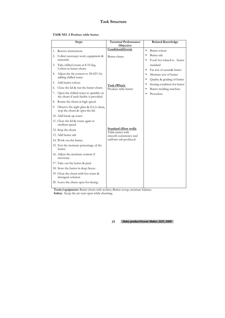### **TASK NO. 2 Produce table butter.**

**Tools/equipment:** Butter churn with worker, Butter scoop, moisture balance. Safety: Keep the air vent open while churning.

|          | <b>Steps</b>                                                                                                                | <b>Terminal Performance</b>                 | <b>Related Knowledge</b>                                                                   |
|----------|-----------------------------------------------------------------------------------------------------------------------------|---------------------------------------------|--------------------------------------------------------------------------------------------|
|          |                                                                                                                             | Objective                                   |                                                                                            |
| 1.       | Receive instructions                                                                                                        | Condition(Given):                           | Butter colour<br>$\bullet$                                                                 |
| 2.       | Collect necessary tools, equipment &<br>materials.                                                                          | Butter churn.                               | Butter salt<br>$\bullet$<br>Food Act related to butter<br>$\bullet$                        |
| 3.<br>4. | Take chilled cream at 8-10 deg.<br>Celsius in butter churn.<br>Adjust the fat content to 38-42% by<br>adding chilled water. |                                             | standard<br>Fat test of cream& butter<br>$\bullet$<br>Moisture test of butter<br>$\bullet$ |
| 5.       | Add butter colour.                                                                                                          |                                             | Quality & grading of butter<br>٠                                                           |
| 6.       | Close the lid & run the butter churn.                                                                                       | Task (What):<br>Produce table butter        | Storing condition for butter<br>٠<br>Butter molding machine.<br>$\bullet$                  |
| 7.       | Open the chilled water to sprinkle on<br>the churn if such facility is provided.                                            |                                             | Procedure<br>$\bullet$                                                                     |
| 8.       | Rotate the churn at high speed.                                                                                             |                                             |                                                                                            |
| 9.       | Observe the sight glass & if it is clean,<br>stop the churn & open the lid.                                                 |                                             |                                                                                            |
|          | 10. Add break up water.                                                                                                     |                                             |                                                                                            |
|          | 11. Close the lid & rotate again at<br>medium speed.                                                                        |                                             |                                                                                            |
|          | 12. Stop the churn                                                                                                          | <b>Standard (How well):</b>                 |                                                                                            |
|          | 13. Add butter salt                                                                                                         | Table butter with<br>smooth consistency and |                                                                                            |
|          | 14. Work out the butter.                                                                                                    | uniform salt produced.                      |                                                                                            |
|          | 15. Test the moisture percentage of the<br>butter.                                                                          |                                             |                                                                                            |
|          | 16. Adjust the moisture content if<br>necessary.                                                                            |                                             |                                                                                            |
|          | 17. Take out the butter & pack                                                                                              |                                             |                                                                                            |
|          | 18. Store the butter in deep freeze.                                                                                        |                                             |                                                                                            |
|          | 19. Clean the churn with hot water &<br>detergent solution                                                                  |                                             |                                                                                            |
|          | 20. Leave the churn open for drying.                                                                                        |                                             |                                                                                            |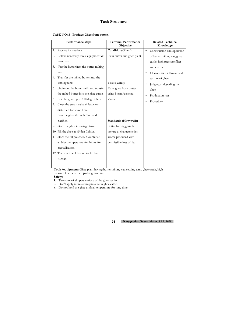|  | TASK NO: 3 Produce Ghee from butter. |
|--|--------------------------------------|
|--|--------------------------------------|

|    | Performance steps                       | <b>Terminal Performance</b><br>Objective |           | <b>Related Technical</b><br>Knowledge |
|----|-----------------------------------------|------------------------------------------|-----------|---------------------------------------|
| 1. | Receive instructions                    | Condition(Given):                        | $\bullet$ | Construction and operation            |
| 2. | Collect necessary tools, equipment &    | Plain butter and ghee plant              |           | of butter milting vat, ghee           |
|    | materials.                              |                                          |           | cattle, high pressure filter          |
| 3. | Put the butter into the butter milting  |                                          |           | and clarifier                         |
|    | vat.                                    |                                          | ٠         | Characteristics flavour and           |
| 4. | Transfer the milted butter into the     |                                          |           | texture of ghee                       |
|    | settling tank.                          | Task (What):                             | $\bullet$ | Judging and grading the               |
| 5. | Drain out the butter milk and transfer  | Make ghee from butter                    |           | ghee                                  |
|    | the milted butter into the ghee gattle. | using Steam jacketed                     | ٠         | Production loss                       |
| 6. | Boil the ghee up to 110 deg Celsius.    | Vassar.                                  | $\bullet$ | Procedure                             |
| 7. | Close the steam valve & leave on        |                                          |           |                                       |
|    | disturbed for some time.                |                                          |           |                                       |
| 8. | Pass the ghee through filter and        |                                          |           |                                       |
|    | clarifier.                              | <b>Standards (How well):</b>             |           |                                       |
| 9. | Store the ghee in storage tank.         | Butter having granular                   |           |                                       |
|    | 10. Fill the ghee at 45 deg Celsius.    | texture & characteristics                |           |                                       |
|    | 11. Store the fill pouches/ Counter at  | aroma produced with                      |           |                                       |
|    | ambient temperature for 24 hrs for      | permissible loss of fat.                 |           |                                       |
|    | crystallization.                        |                                          |           |                                       |
|    | 12. Transfer to cold store for further  |                                          |           |                                       |
|    | storage.                                |                                          |           |                                       |

**Tools/equipment:** Ghee plant having butter milting vat, settling tank, ghee cattle, high pressure filter, clarifier, packing machine.

#### **Safety:**

- **1.** Take care of slippery surface of the ghee section.
- 2. Don't apply more steam pressure in ghee cattle.
- 3. Do not hold the ghee at final temperature for long time.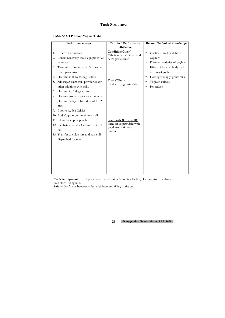### **TASK NO: 4 Produce Yogurt/Dahi**

|                | Performance steps                                                                                                                                         | <b>Terminal Performance</b>                                                                  | <b>Related Technical Knowledge</b>                                                                  |
|----------------|-----------------------------------------------------------------------------------------------------------------------------------------------------------|----------------------------------------------------------------------------------------------|-----------------------------------------------------------------------------------------------------|
|                |                                                                                                                                                           | Objective                                                                                    |                                                                                                     |
| 1.<br>2.       | Receive instructions.<br>Collect necessary tools, equipment &<br>materials.                                                                               | Condition(Given):<br>Milk & other additives and<br>batch pasteurizer.                        | Quality of milk suitable for<br>$\bullet$<br>yoghurt<br>Different varieties of yoghurt<br>$\bullet$ |
| 3.<br>4.       | Take milk of required fat % into the<br>batch pasteurizer.<br>Heat the milk to 45 deg Celsius.                                                            |                                                                                              | Effect of heat on body and<br>texture of yoghurt<br>Homogenizing yoghurt milk<br>$\bullet$          |
| 5.             | Mix sugar, skim milk powder & any<br>other additives with milk.                                                                                           | Task (What):<br>Produced yoghurt/ dahi.                                                      | Yoghurt culture<br>Procedure                                                                        |
| 6.<br>7.<br>8. | Heat to city 5 deg Celsius.<br>Homogenize at appropriate pressure.<br>Heat to 85 deg Celsius & hold for 20                                                |                                                                                              |                                                                                                     |
|                | min.<br>9. Cool to 42 deg Celsius.<br>10. Add Yoghurt culture & mix well.                                                                                 |                                                                                              |                                                                                                     |
|                | 11. Fill in the cup or pouches.<br>12. Incubate at 42 deg Celsius for 3 to 4<br>hrs.<br>13. Transfer to cold store and store till<br>dispatched for sale. | <b>Standards (How well):</b><br>Firm set yogurt/dahi with<br>good aroma & taste<br>produced. |                                                                                                     |
|                |                                                                                                                                                           |                                                                                              |                                                                                                     |

**Tools/equipment:** Batch pasteurizer with heating & cooling facility, Homogenizer Incubator, cold store, filling unit.

**Safety:** Don't laps between culture addition and filling in the cup.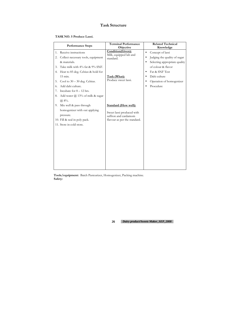| TASK NO. 5 Produce Lassi. |  |  |  |
|---------------------------|--|--|--|
|---------------------------|--|--|--|

|    | <b>Performance Steps</b>               | <b>Terminal Performance</b><br>Objective | <b>Related Technical</b><br>Knowledge |
|----|----------------------------------------|------------------------------------------|---------------------------------------|
| 1. | Receive instructions                   | Condition(Given):                        | Concept of lassi<br>$\bullet$         |
| 2. | Collect necessary tools, equipment     | Milk, equipped lab and<br>standard.      | Judging the quality of sugar          |
|    | & materials.                           |                                          | Selecting appropriate quality         |
| 3. | Take milk with 4% fat & 9% SNF.        |                                          | of colour & flavor                    |
|    | 4. Heat to 85 deg. Celsius & hold for  |                                          | Fat & SNF Test<br>$\bullet$           |
|    | 15 min.                                | Task (What):                             | Dahi culture<br>$\bullet$             |
| 5. | Cool to $30 - 30$ deg. Celsius.        | Produce sweet lassi.                     | Operation of homogenizer              |
| 6. | Add dahi culture.                      |                                          | Procedure<br>$\bullet$                |
| 7. | Incubate for $8 - 12$ hrs.             |                                          |                                       |
| 8. | Add water $\omega$ 13% of milk & sugar |                                          |                                       |
|    | (a) 8%                                 |                                          |                                       |
|    | 9. Mix well & pass through             | <b>Standard (How well):</b>              |                                       |
|    | homogenizer with out applying          | Sweet lassi produced with                |                                       |
|    | pressure.                              | saffron and cardamom                     |                                       |
|    | 10. Fill & seal in poly pack.          | flavour as per the standard.             |                                       |
|    | 11. Store in cold store.               |                                          |                                       |
|    |                                        |                                          |                                       |
|    |                                        |                                          |                                       |
|    |                                        |                                          |                                       |
|    |                                        |                                          |                                       |
|    |                                        |                                          |                                       |
|    |                                        |                                          |                                       |
|    |                                        |                                          |                                       |
|    |                                        |                                          |                                       |
|    |                                        |                                          |                                       |

**Tools/equipment:** Batch Pasteurizer, Homogenizer, Packing machine. **Safety:**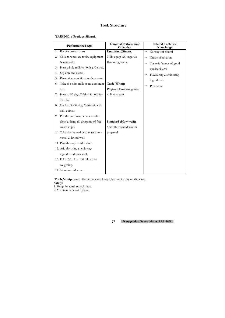| TASK NO. 6 Produce Sikarni. |  |  |  |
|-----------------------------|--|--|--|
|-----------------------------|--|--|--|

|    | <b>Performance Steps</b>              | <b>Terminal Performance</b><br>Objective | <b>Related Technical</b><br>Knowledge |
|----|---------------------------------------|------------------------------------------|---------------------------------------|
| 1. | Receive instructions                  | Condition(Given):                        | Concept of sikarni<br>$\bullet$       |
| 2. | Collect necessary tools, equipment    | Milk; equip lab, sugar &                 | Cream separation<br>$\bullet$         |
|    | & materials.                          | flavouring agent.                        | Taste & flavour of good<br>٠          |
| 3. | Heat whole milk to 40 deg. Celsius.   |                                          | quality sikarni                       |
| 4. | Separate the cream.                   |                                          | Flavouring & colouring                |
| 5. | Pasteurize, cool & store the cream.   |                                          | ingredients                           |
| 6. | Take the skim milk in an aluminum     | Task (What):                             | Procedure                             |
|    | can.                                  | Prepare sikarni using skim               |                                       |
|    | 7. Heat to 85 deg. Celsius & hold for | milk & cream.                            |                                       |
|    | $10$ min.                             |                                          |                                       |
| 8. | Cool to 30-32 deg. Celsius & add      |                                          |                                       |
|    | dahi culture.                         |                                          |                                       |
| 9. | Put the curd mass into a muslin       |                                          |                                       |
|    | cloth & hang till dropping of free    | <b>Standard (How well):</b>              |                                       |
|    | water stops.                          | Smooth textured sikarni                  |                                       |
|    | 10. Take the drained curd mass into a | prepared.                                |                                       |
|    | vessel & knead well.                  |                                          |                                       |
|    | 11. Pass through muslin cloth.        |                                          |                                       |
|    | 12. Add flavoring & coloring          |                                          |                                       |
|    | ingredient & mix well.                |                                          |                                       |
|    | 13. Fill in 50 ml or 100 ml cup by    |                                          |                                       |
|    | weighting.                            |                                          |                                       |
|    | 14. Store in cold store.              |                                          |                                       |

 **Tools/equipment:** Aluminum can plunger, heating facility muslin cloth.

### **Safety:**

- 1. Hang the curd in cool place.
- 2. Maintain personal hygiene.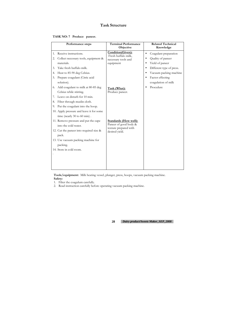### **TASK NO: 7 Produce paneer.**

| Performance steps                                                                                                                                                                                                                                                                                                                                                                                                                                                                                                                                                                                                                                                                                | <b>Terminal Performance</b>                                                                                                                                                                                                      | <b>Related Technical</b>                                                                                                                                                                                                |
|--------------------------------------------------------------------------------------------------------------------------------------------------------------------------------------------------------------------------------------------------------------------------------------------------------------------------------------------------------------------------------------------------------------------------------------------------------------------------------------------------------------------------------------------------------------------------------------------------------------------------------------------------------------------------------------------------|----------------------------------------------------------------------------------------------------------------------------------------------------------------------------------------------------------------------------------|-------------------------------------------------------------------------------------------------------------------------------------------------------------------------------------------------------------------------|
| Receive instructions.<br>1.<br>Collect necessary tools, equipment &<br>2.<br>materials.<br>Take fresh buffalo milk.<br>3.<br>Heat to 85-90 deg Celsius.<br>4.<br>Prepare coagulant (Citric acid<br>5.<br>solution).<br>6. Add coagulant to milk at 80-85 deg<br>Celsius while stirring.<br>Leave on disturb for 10 min.<br>7.<br>Filter through muslin cloth.<br>8.<br>Put the coagulant into the hoop.<br>9.<br>10. Apply pressure and leave it for some<br>time (nearly $30$ to $60$ min).<br>11. Remove pressure and put the cape<br>into the cold water.<br>12. Cut the paneer into required size $\&$<br>pack.<br>13. Use vacuum packing machine for<br>packing.<br>14. Store in cold room. | Objective<br>Condition(Given):<br>Fresh buffalo milk,<br>necessary tools and<br>equipment<br>Task (What):<br>Produce paneer.<br><b>Standards (How well):</b><br>Paneer of good body &<br>texture prepared with<br>desired yield. | Knowledge<br>Coagulant preparation<br>$\bullet$<br>Quality of paneer<br>Yield of paneer<br>٠<br>Different type of press.<br>$\bullet$<br>Vacuum packing machine<br>Factor effecting<br>coagulation of milk<br>Procedure |
|                                                                                                                                                                                                                                                                                                                                                                                                                                                                                                                                                                                                                                                                                                  |                                                                                                                                                                                                                                  |                                                                                                                                                                                                                         |

**Tools/equipment:** Milk heating vessel, plunger, press, hoops, vacuum packing machine. **Safety:** 

1. Filter the coagulum carefully.

2. Read instruction carefully before operating vacuum packing machine.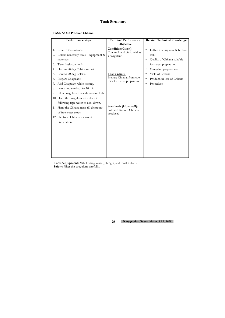| TASK NO: 8 Produce Chhana |  |  |
|---------------------------|--|--|
|---------------------------|--|--|

|                      | Performance steps                                                                                                                                                                             | <b>Terminal Performance</b><br>Objective                               | <b>Related Technical Knowledge</b>                                                                                                 |
|----------------------|-----------------------------------------------------------------------------------------------------------------------------------------------------------------------------------------------|------------------------------------------------------------------------|------------------------------------------------------------------------------------------------------------------------------------|
| 1.<br>2.<br>3.<br>4. | Receive instructions.<br>Collect necessary tools, equipment &<br>materials.<br>Take fresh cow milk.<br>Heat to 90 deg Celsius or boil.                                                        | Condition(Given):<br>Cow milk and citric acid as<br>a coagulant.       | Differentiating cow & buffalo<br>milk<br>Quality of Chhana suitable<br>$\bullet$<br>for sweet preparation<br>Coagulant preparation |
| 5.<br>6.<br>8.<br>9. | Cool to 70 deg Celsius.<br>Prepare Coagulant.<br>Add Coagulant while stirring.<br>Leave undisturbed for 10 min.<br>Filter coagulum through muslin cloth.                                      | Task (What):<br>Prepare Chhana from cow<br>milk for sweet preparation. | Yield of Chhana<br>Production loss of Chhana<br>Procedure<br>$\bullet$                                                             |
|                      | 10. Deep the coagulum with cloth in<br>following tape water to cool down.<br>11. Hang the Chhana mass till dropping<br>of free water stops.<br>12. Use fresh Chhana for sweet<br>preparation. | <b>Standards (How well):</b><br>Soft and smooth Chhana<br>produced.    |                                                                                                                                    |
|                      |                                                                                                                                                                                               |                                                                        |                                                                                                                                    |

**Tools/equipment:** Milk heating vessel, plunger, and muslin cloth. **Safety:** Filter the coagulum carefully.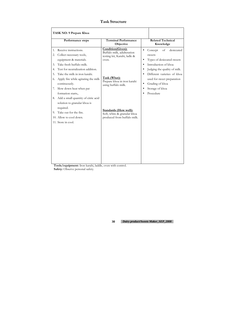**Tools/equipment:** Iron karahi, laddle, oven with control. Safety: Observe personal safety.

| TASK NO: 9 Prepare Khoa          |                                                                                                                                                                                                                                                                     |                                                                                                                                                                |                                                                                                                                                                                                                                                                                                              |
|----------------------------------|---------------------------------------------------------------------------------------------------------------------------------------------------------------------------------------------------------------------------------------------------------------------|----------------------------------------------------------------------------------------------------------------------------------------------------------------|--------------------------------------------------------------------------------------------------------------------------------------------------------------------------------------------------------------------------------------------------------------------------------------------------------------|
|                                  | Performance steps                                                                                                                                                                                                                                                   | <b>Terminal Performance</b><br>Objective                                                                                                                       | <b>Related Technical</b><br>Knowledge                                                                                                                                                                                                                                                                        |
| 1.<br>2.<br>3.<br>4.<br>5.<br>6. | Receive instructions.<br>Collect necessary tools,<br>equipment & materials.<br>Take fresh buffalo milk.<br>Test for neutralization addition.<br>Take the milk in iron karahi.<br>Apply fire while agitating the milk<br>continuously.<br>7. Slow down heat when pat | Condition(Given):<br>Buffalo milk, adulteration<br>testing kit, Karahi, ladle &<br>oven.<br>Task (What):<br>Prepare khoa in iron karahi<br>using buffalo milk. | desiccated<br>of<br>Concept<br>$\bullet$<br>sweets<br>Types of desiccated sweets<br>$\bullet$<br>Introduction of khoa<br>Judging the quality of milk.<br>$\bullet$<br>Different varieties of khoa<br>used for sweet preparation<br>Grading of khoa<br>$\bullet$<br>Storage of khoa<br>$\bullet$<br>Procedure |
| 9.                               | formation starts,.<br>8. Add a small quantity of citric acid<br>solution to granular khoa is<br>required.<br>Take out for the fire.<br>10. Allow to cool down.<br>11. Store in cool.                                                                                | <b>Standards (How well):</b><br>Soft, white & granular khoa<br>produced from buffalo milk.                                                                     |                                                                                                                                                                                                                                                                                                              |
|                                  |                                                                                                                                                                                                                                                                     |                                                                                                                                                                |                                                                                                                                                                                                                                                                                                              |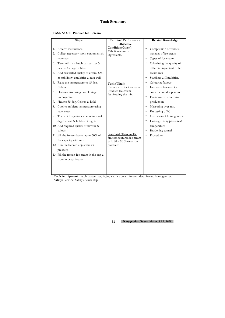### **TASK NO. 10 Produce Ice – cream**

**Tools/equipment:** Batch Pasteurizer, Aging vat, Ice cream freezer, deep freeze, homogenizer. Safety: Personal Safety at each step.

|    | <b>Steps</b>                               | <b>Terminal Performance</b>                              |           | <b>Related Knowledge</b>    |
|----|--------------------------------------------|----------------------------------------------------------|-----------|-----------------------------|
|    |                                            | Objective                                                |           |                             |
| 1. | Receive instructions                       | Condition(Given):<br>Milk & necessary                    | $\bullet$ | Composition of various      |
| 2. | Collect necessary tools, equipment &       | ingredients.                                             |           | varieties of ice cream      |
|    | materials.                                 |                                                          | $\bullet$ | Types of Ice cream          |
| 3. | Take milk in a batch pasteurizer &         |                                                          |           | Calculating the quality of  |
|    | heat to 45 deg. Celsius.                   |                                                          |           | different ingredient of Ice |
| 4. | Add calculated quality of cream, SMP       |                                                          |           | cream mix                   |
|    | & stabilizer/ emulsifier & mix well.       |                                                          | $\bullet$ | Stabilizer & Emulsifier.    |
| 5. | Raise the temperature to 65 deg.           | Task (What):                                             | $\bullet$ | Colour & flavour            |
|    | Celsius.                                   | Prepare mix for ice-cream.                               | $\bullet$ | Ice cream freezers, its     |
| 6. | Homogenize using double stage              | Produce Ice cream<br>by freezing the mix.                | $\bullet$ | construction & operation.   |
|    | homogenizer.                               |                                                          |           | Economy of Ice-cream        |
| 7. | Heat to 85 deg. Celsius & hold.            |                                                          |           | production                  |
| 8. | Cool to ambient temperature using          |                                                          | $\bullet$ | Measuring over run.         |
|    | tape water.                                |                                                          | $\bullet$ | Fat testing of IC           |
| 9. | Transfer to ageing vat, cool to $2 - 4$    |                                                          |           | Operation of homogenizer.   |
|    | deg. Celsius & hold over night.            |                                                          | $\bullet$ | Homogenizing pressure &     |
|    | 10. Add required quality of flavour &      |                                                          |           | temperature                 |
|    | colour.                                    |                                                          | $\bullet$ | Hardening tunnel            |
|    | 11. Fill the freezer barrel up to 50% of   | <b>Standard (How well):</b><br>Smooth textured ice cream | $\bullet$ | Procedure                   |
|    | the capacity with mix.                     | with $80 - 90\%$ over run                                |           |                             |
|    | 12. Run the freezer, adjust the air        | produced.                                                |           |                             |
|    | pressure.                                  |                                                          |           |                             |
|    | 13. Fill the frozen Ice cream in the cup & |                                                          |           |                             |
|    | store in deep freezer.                     |                                                          |           |                             |
|    |                                            |                                                          |           |                             |
|    |                                            |                                                          |           |                             |
|    |                                            |                                                          |           |                             |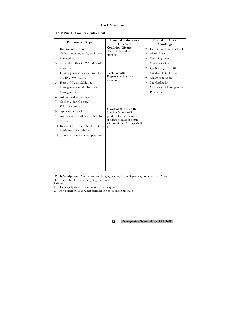#### **TASK NO. 11 Produce sterilized milk.**

| <b>Performance Steps</b>                                                                                                                                                                                                                                                                                         | <b>Terminal Performance</b><br>Objective                                                                                                            | <b>Related Technical</b><br>Knowledge                                                                                                                                                                                                                                                     |
|------------------------------------------------------------------------------------------------------------------------------------------------------------------------------------------------------------------------------------------------------------------------------------------------------------------|-----------------------------------------------------------------------------------------------------------------------------------------------------|-------------------------------------------------------------------------------------------------------------------------------------------------------------------------------------------------------------------------------------------------------------------------------------------|
| Receive instructions<br>1.<br>Collect necessary tools, equipment<br>2.<br>& materials.<br>3. Select the milk with 70% alcohol<br>negative.<br>4. Heat, separate & standardized to<br>3% fat & 9.0% SNF.<br>5. Heat to 75 deg. Celsius &<br>homogenize with double stage                                          | Condition(Given):<br>Flour, milk and batch<br>sterilizer.<br>Task (What):<br>Prepare sterilize milk in<br>glass bottle.                             | Definition of sterilized milk<br>$\bullet$<br>Alcohol test<br>$\bullet$<br>Creaming index<br>$\bullet$<br>Crown capping<br>$\bullet$<br>Quality of glass bottle<br>Suitable of sterilization<br>Cream separation<br>$\bullet$<br>Standardization<br>$\bullet$<br>Operation of homogenizer |
| homogenizer.<br>Add refined white sugar.<br>6.<br>Cool to 5 deg. Celsius.<br>7.<br>Fill in the bottle.<br>8.<br>Apply crown pack.<br>9.<br>10. Auto calves at 120 deg. Celsius for<br>20 min.<br>11. Release the pressure & take out the<br>bottle from the stabilizer.<br>12. Store at atmospheric temperature. | <b>Standard (How well):</b><br>Sterilize flavour milk<br>produced with out any<br>spoilage of milk or bottle<br>with minimum 30 days shelf<br>life. | Procedure                                                                                                                                                                                                                                                                                 |

 **Tools/equipment:** Aluminum can plunger, heating facility Separator, homogenizer, Auto clave, Glass bottle, Crown capping machine.

### **Safety:**

- 1. Don't apply more steam pressure than required.
- 2. Don't open the lead when sterilizer is hot. & under pressure.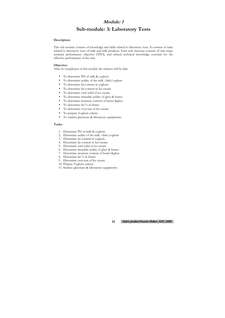# **Module: 1 Sub-module: 3: Laboratory Tests**

#### **Description:**

This sub module consists of knowledge and skills related to laboratory tests. It consists of tasks related to laboratory tests of milk and milk products. Each task structure consists of task steps, terminal performance objective [TPO], and related technical knowledge essential for the effective performance of the task.

#### **Objective:**

After its completion of this module the trainees will be able:

- To determine PH of milk & yoghurt.
- To determine acidity of the milk /dahi/yoghurt
- To determine fat content in yoghurt.
- To determine fat content in Ice-cream.
- To determine total solid of ice-cream.
- To determine titratable acidity of ghee & butter.
- To determine moisture content of butter &ghee.
- To determine fat % in butter
- To determine over-run of Ice cream.
- To prepare Yoghurt culture.
- To sanitize glassware & laboratory equipments.

#### **Tasks:**

- 1. Determine PH of milk & yoghurt.
- 2. Determine acidity of the milk /dahi/yoghurt
- 3. Determine fat content in yoghurt.
- 4. Determine fat content in Ice-cream.
- 5. Determine total solid of ice-cream.
- 6. Determine titratable acidity of ghee & butter.
- 7. Determine moisture content of butter &ghee.
- 8. Determine fat % in butter
- 9. Determine over-run of Ice cream.
- 10. Prepare Yoghurt culture.
- 11. Sanitize glassware & laboratory equipments.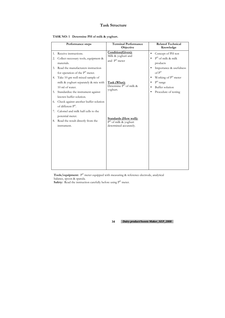|  | TASK NO: 1 Determine PH of milk & yoghurt. |
|--|--------------------------------------------|
|--|--------------------------------------------|

|          | Performance steps                                                                          | <b>Terminal Performance</b><br>Objective                                         | <b>Related Technical</b><br>Knowledge                                          |
|----------|--------------------------------------------------------------------------------------------|----------------------------------------------------------------------------------|--------------------------------------------------------------------------------|
| 1.<br>2. | Receive instructions.<br>Collect necessary tools, equipment &<br>materials.                | Condition(Given):<br>Milk & yoghurt and<br>and P <sup>H</sup> meter              | Concept of PH test<br>$\bullet$<br>$PH$ of milk & milk<br>products             |
| 3.       | Read the manufacturers instruction<br>for operation of the $PH$ meter.                     |                                                                                  | Importance & usefulness<br>of P <sup>H</sup>                                   |
| 4.       | Take 10 gm well mixed sample of<br>milk & yoghurt separately & mix with<br>10 ml of water. | Task (What):<br>Determine $P^H$ of milk &<br>yoghurt.                            | Working of PH meter<br>$PH$ range<br>$\bullet$<br>Buffer solution<br>$\bullet$ |
| 5.       | Standardize the instrument against<br>known buffer solution.                               |                                                                                  | Procedure of testing                                                           |
| 6.       | Check against another buffer solution<br>of different P <sup>H</sup> .                     |                                                                                  |                                                                                |
| 7.       | Calomel and milk half cells to the<br>potential meter.                                     |                                                                                  |                                                                                |
|          | 8. Read the result directly from the<br>instrument.                                        | <b>Standards (How well):</b><br>$PH$ of milk & yoghurt<br>determined accurately. |                                                                                |
|          |                                                                                            |                                                                                  |                                                                                |

**Tools/equipment:** P<sup>H</sup> meter equipped with measuring & reference electrode, analytical balance, spoon & spatula.

**Safety:** Read the instruction carefully before using  $P<sup>H</sup>$  meter.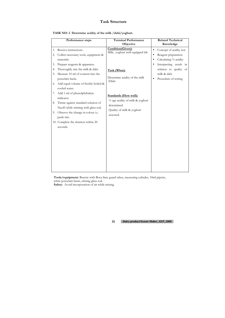**TASK NO: 2 Determine acidity of the milk /dahi/yoghurt.** 

|                      | Performance steps                                                                                                                                                                                                                  | <b>Terminal Performance</b>                                                                                              | <b>Related Technical</b>                                                                                                                                                                     |
|----------------------|------------------------------------------------------------------------------------------------------------------------------------------------------------------------------------------------------------------------------------|--------------------------------------------------------------------------------------------------------------------------|----------------------------------------------------------------------------------------------------------------------------------------------------------------------------------------------|
|                      |                                                                                                                                                                                                                                    | Objective                                                                                                                | Knowledge                                                                                                                                                                                    |
| 1.<br>2.             | Receive instructions.<br>Collect necessary tools, equipment &<br>materials.                                                                                                                                                        | Condition(Given):<br>Milk, yoghurt well equipped lab                                                                     | Concept of acidity test<br>$\bullet$<br>Reagent preparation<br>Calculating % acidity<br>Interpreting result in<br>$\bullet$<br>relation to quality of<br>milk & dahi<br>Procedure of testing |
| 3.<br>4.<br>5.<br>6. | Prepare reagents & apparatus.<br>Thoroughly mix the milk & dahi.<br>Measure 10 ml of content into the<br>porcelain basin.<br>Add equal volume of freshly boiled &<br>cooled water.                                                 | Task (What):<br>Determine acidity of the milk<br>/Dahi                                                                   |                                                                                                                                                                                              |
| 7.<br>9.             | Add 1 ml of phenolphthalein<br>indicator.<br>8. Titrate against standard solution of<br>NaoH while stirning with glass rod.<br>Observe the change in colour i.e.<br>punk tint.<br>10. Complete the titration within 20<br>seconds. | <b>Standards (How well):</b><br>% age acidity of milk & yoghurt<br>determined.<br>Quality of milk & yoghurt<br>assessed. |                                                                                                                                                                                              |

**Tools/equipment:** Burette with Boca lime guard tubes, measuring cylinder, 10ml pipette, white porcelain basin, stirring glass rod. **Safety:** Avoid incorporation of air while mixing.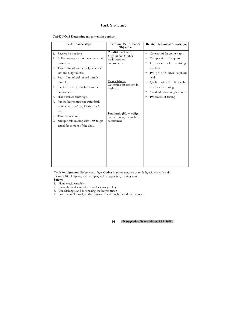|  |  |  | TASK NO: 3 Determine fat content in yoghurt. |
|--|--|--|----------------------------------------------|
|--|--|--|----------------------------------------------|

|          | Performance steps                                                                                                | <b>Terminal Performance</b><br>Objective                                | <b>Related Technical Knowledge</b>                                                     |
|----------|------------------------------------------------------------------------------------------------------------------|-------------------------------------------------------------------------|----------------------------------------------------------------------------------------|
| 1.<br>2. | Receive instructions.<br>Collect necessary tools, equipment &<br>materials.                                      | Condition(Given):<br>Yoghurt and Gerber<br>equipment and<br>butyrometer | Concept of fat content test<br>Composition of yoghurt<br>Operation<br>of<br>centrifuge |
| 3.       | Take 10 ml of Gerber sulpheric acid<br>into the butyrometer.<br>4. Pour 10 ml of well mixed sample<br>carefully. | Task (What):                                                            | machine<br>Pre ph of Gerber sulpheric<br>acid<br>Quality of acid & alcohol             |
| 5.       | Put 2 ml of amyl alcohol into the<br>butyrometer.                                                                | Determine fat content in<br>yoghurt.                                    | used for the testing<br>Standardization of glass ware<br>Procedure of testing          |
| 6.<br>7. | Shake well & centrifuge.<br>Put the butyrometer in water bath<br>maintained at 65 deg Celsius for 5<br>min.      |                                                                         |                                                                                        |
| 8.<br>9. | Take the reading.<br>Multiply this reading with 1.05 to get<br>actual fat content of the dahi.                   | <b>Standards (How well):</b><br>Fat percentage in yoghurt<br>determined |                                                                                        |
|          |                                                                                                                  |                                                                         |                                                                                        |

**Tools/equipment:** Gerber centrifuge, Gerber butyrometer, hot water halt, acid & alcohol tilt measure 10 ml pipette, lock stopper, lock stopper key, shaking stand. **Safety:** 

- 1. Handle acid carefully.
- 2. Close the cork carefully using lock stopper key.
- 3. Use shaking stand for shaking the butyrometer.
- 4. Pour the milk slowly in the butyrometer through the side of the neck.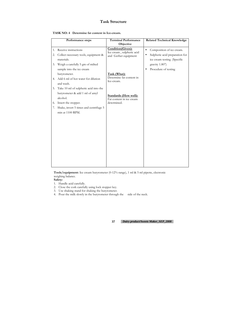|  | TASK NO: 4 Determine fat content in Ice-cream. |
|--|------------------------------------------------|
|--|------------------------------------------------|

|    | Performance steps                                                                   | <b>Terminal Performance</b><br>Objective                               | <b>Related Technical Knowledge</b>                                                                       |
|----|-------------------------------------------------------------------------------------|------------------------------------------------------------------------|----------------------------------------------------------------------------------------------------------|
| 2. | 1. Receive instructions<br>Collect necessary tools, equipment &<br>materials.       | Condition(Given):<br>Ice cream, sulpheric acid<br>and Gerber equipment | Composition of ice cream.<br>$\bullet$<br>Sulpheric acid preparation for<br>ice cream testing. (Specific |
|    | 3. Weigh a carefully 5 gm of milted<br>sample into the ice cream                    |                                                                        | gravity 1.807)<br>Procedure of testing                                                                   |
|    | butyrometer.<br>4. Add 6 ml of hot water for dilution<br>and wash.                  | Task (What):<br>Determine fat content in<br>Ice-cream.                 |                                                                                                          |
| 5. | Take 10 ml of sulpheric acid into the<br>butyrometer & add 1 ml of amyl<br>alcohol. | <b>Standards (How well):</b><br>Fat content in ice cream               |                                                                                                          |
| 6. | Insert the stopper.                                                                 | determined.                                                            |                                                                                                          |
| 7. | Shake, invert 5 times and centrifuge 5<br>min at 1100 RPM.                          |                                                                        |                                                                                                          |

**Tools/equipment:** Ice cream butyrometer (0-12% range), 1 ml & 5 ml pipette, electronic weighing balance.

**Safety:** 

- 1. Handle acid carefully.
- 2. Close the cork carefully using lock stopper key.
- 3. Use shaking stand for shaking the butyrometer.
- 4. Pour the milk slowly in the butyrometer through the side of the neck.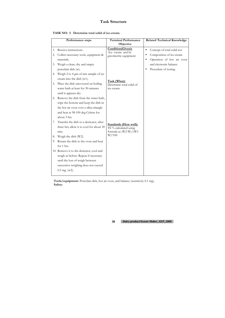| TASK NO: 5 Determine total solid of ice-cream. |
|------------------------------------------------|
|                                                |

|    | Performance steps                        | <b>Terminal Performance</b>               | <b>Related Technical Knowledge</b>       |
|----|------------------------------------------|-------------------------------------------|------------------------------------------|
|    |                                          | Objective                                 |                                          |
| 1. | Receive instructions.                    | Condition(Given):                         | Concept of total solid test<br>$\bullet$ |
| 2. | Collect necessary tools, equipment &     | Ice-cream and by<br>gravimetric equipment | Composition of ice-cream                 |
|    | materials.                               |                                           | Operation of hot air oven                |
| 3. | Weigh a clean, dry and empty             |                                           | and electronic balance                   |
|    | porcelain dish (w).                      |                                           | Procedure of testing                     |
| 4. | Weigh 2 to 4 gm of mix sample of ice     |                                           |                                          |
|    | cream into the dish (w1).                | Task (What):                              |                                          |
| 5. | Place the dish uncovered on boiling      | Determine total solid of                  |                                          |
|    | water bath at least for 30 minutes       | ice-cream.                                |                                          |
|    | until it appears dry.                    |                                           |                                          |
| 6. | Remove the dish from the water bath,     |                                           |                                          |
|    | wipe the bottom and keep the dish in     |                                           |                                          |
|    | the hot air oven over a silica triangle  |                                           |                                          |
|    | and heat at 98-100 deg Celsius for       |                                           |                                          |
|    | about 3 hrs.                             |                                           |                                          |
| 7. | Transfer the dish to a decicator, after  | <b>Standards (How well):</b>              |                                          |
|    | three hrs; allow it to cool for about 30 | TS % calculated using                     |                                          |
|    | min.                                     | formula as $(W2-W)/(W1$ -                 |                                          |
| 8. | Weigh the dish (W2).                     | $W$ *100                                  |                                          |
| 9. | Return the dish to the oven and heat     |                                           |                                          |
|    | for 1 hrs.                               |                                           |                                          |
|    | 10. Remove it to the desicator, cool and |                                           |                                          |
|    | weigh as before. Repeat if necessary     |                                           |                                          |
|    | until the loss of weigh between          |                                           |                                          |
|    | successive weighing does not exceed      |                                           |                                          |
|    | $0.5$ mg. (w2).                          |                                           |                                          |
|    |                                          |                                           |                                          |

**Tools/equipment:** Porcelain dish, hot air oven, and balance (sensitivity 0.1 mg). **Safety:**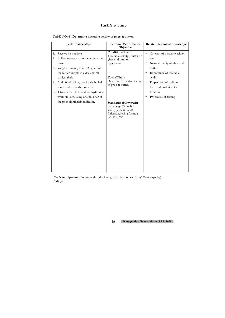| TASK NO: 6 Determine titratable acidity of ghee & butter. |  |  |  |  |  |
|-----------------------------------------------------------|--|--|--|--|--|
|-----------------------------------------------------------|--|--|--|--|--|

|          | Performance steps                                                    | <b>Terminal Performance</b>                                                                                                  | <b>Related Technical Knowledge</b>                 |
|----------|----------------------------------------------------------------------|------------------------------------------------------------------------------------------------------------------------------|----------------------------------------------------|
|          |                                                                      | Objective                                                                                                                    |                                                    |
| 1.<br>2. | Receive instructions.<br>Collect necessary tools, equipment &        | Condition(Given):<br>Titratable acidity, butter or<br>ghee and titration                                                     | Concept of titratable acidity<br>$\bullet$<br>test |
|          | materials.                                                           | equipment                                                                                                                    | Normal acidity of ghee and                         |
| 3.       | Weigh accurately about 20 gram of                                    |                                                                                                                              | butter                                             |
|          | the butter sample in a dry 250-ml                                    |                                                                                                                              | Importance of titratable                           |
|          | conical flask.                                                       | Task (What):                                                                                                                 | acidity                                            |
| 4.       | Add 90 ml of hot, previously boiled<br>water and shake the contents. | Determine titratable acidity<br>of ghee & butter.                                                                            | Preparation of sodium<br>hydroxide solution for    |
| 5.       | Titrate with 0.02N sodium hydroxide                                  |                                                                                                                              | titration.                                         |
|          | while still hot, using one milliliter of                             |                                                                                                                              | Procedure of testing<br>$\bullet$                  |
|          | the phenolphthalein indicator.                                       | <b>Standards (How well):</b><br>Percentage Titratable<br>acidity(as lactic acid)<br>Calculated using formula<br>$(9*N*V)/W.$ |                                                    |

**Tools/equipment:**. Burette with soda- lime guard tube, conical flask(250 ml capacity). **Safety:**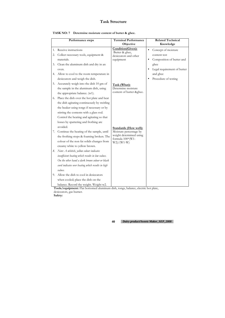|  |  | TASK NO: 7 Determine moisture content of butter & ghee. |
|--|--|---------------------------------------------------------|
|--|--|---------------------------------------------------------|

|    | Performance steps                                 | <b>Terminal Performance</b><br>Objective    | <b>Related Technical</b><br>Knowledge |
|----|---------------------------------------------------|---------------------------------------------|---------------------------------------|
| 1. | Receive instructions                              | Condition(Given):                           | Concept of moisture                   |
| 2. | Collect necessary tools, equipment &              | Butter & ghee,<br>desiccators and other     | content test                          |
|    | materials.                                        | equipment                                   | Composition of butter and             |
| 3. | Clean the aluminum dish and dry in an             |                                             | ghee                                  |
|    | oven.                                             |                                             | Legal requirement of butter           |
|    | 4. Allow to cool to the room temperature in       |                                             | and ghee                              |
|    | desiccators and weigh the dish.                   |                                             | Procedure of testing                  |
| 5. | Accurately weigh into the dish 10 gm of           | Task (What):                                |                                       |
|    | the sample in the aluminum dish, using            | Determine moisture                          |                                       |
|    | the appropriate balance. (w1).                    | content of butter &ghee.                    |                                       |
| 6. | Place the dish over the hot plate and heat        |                                             |                                       |
|    | the dish agitating continuously by swirling       |                                             |                                       |
|    | the beaker using tongs if necessary or by         |                                             |                                       |
|    | stirring the contents with a glass rod.           |                                             |                                       |
|    | Control the heating and agitating so that         |                                             |                                       |
|    | losses by spattering and frothing are             |                                             |                                       |
|    | avoided.                                          | <b>Standards (How well):</b>                |                                       |
| 7. | Continue the heating of the sample, until         | Moisture percentage by                      |                                       |
|    | the frothing stops & foaming broken. The          | weight determined using<br>formula 100*(W1- |                                       |
|    | colour of the non fat solids changes from         | $W2)/(W1-W)$                                |                                       |
|    | creamy white to yellow brown.                     |                                             |                                       |
| 8. | Note: $A$ whitish, yellow colour indicates        |                                             |                                       |
|    | insufficient heating which results in low values. |                                             |                                       |
|    | On the other hand a dark brown colour or black    |                                             |                                       |
|    | curd indicates over heating which results in high |                                             |                                       |
|    | values.                                           |                                             |                                       |
| 9. | Allow the dish to cool in desiccators             |                                             |                                       |
|    | when cooled; place the dish on the                |                                             |                                       |
|    | balance. Record the weight. Weight w2.            |                                             |                                       |

**Tools/equipment:** Flat bottomed aluminum dish, tongs, balance, electric hot plate, desiccators, gas burner. **Safety:**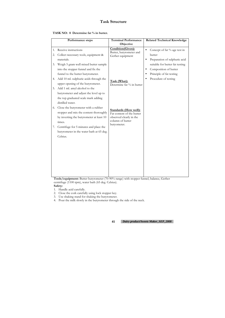|  |  | TASK NO: 8 Determine fat % in butter. |  |  |
|--|--|---------------------------------------|--|--|
|--|--|---------------------------------------|--|--|

|          | Performance steps                                                                                                                      | <b>Terminal Performance</b>                                                                              | <b>Related Technical Knowledge</b>                                                                             |
|----------|----------------------------------------------------------------------------------------------------------------------------------------|----------------------------------------------------------------------------------------------------------|----------------------------------------------------------------------------------------------------------------|
|          |                                                                                                                                        | Objective                                                                                                |                                                                                                                |
| 1.<br>2. | Receive instructions<br>Collect necessary tools, equipment &<br>materials.                                                             | Condition(Given):<br>Butter, butyrometer and<br>Gerber equipment                                         | Concept of fat % age test in<br>$\bullet$<br>butter<br>Preparation of sulphuric acid<br>$\bullet$              |
| 3.       | Weigh 5 gram well mixed butter sample<br>into the stopper funnel and fix the<br>funnel to the butter butyrometer.                      |                                                                                                          | suitable for butter fat testing<br>Composition of butter<br>$\bullet$<br>Principle of fat testing<br>$\bullet$ |
| 4.       | Add 10 ml. sulphuric acids through the<br>upper opening of the butyrometer.                                                            | Task (What):<br>Determine fat % in butter                                                                | Procedure of testing                                                                                           |
| 5.       | Add 1 ml. amyl alcohol to the<br>butyrometer and adjust the level up to<br>the top graduated scale mark adding<br>distilled water.     |                                                                                                          |                                                                                                                |
|          | 6. Close the butyrometer with a rubber<br>stopper and mix the content thoroughly<br>by inverting the butyrometer at least 10<br>times. | <b>Standards (How well):</b><br>Fat content of the butter<br>observed clearly in the<br>column of butter |                                                                                                                |
| 7.       | Centrifuge for 5 minutes and place the<br>butyrometer in the water bath at 65 deg.<br>Celsius.                                         | butyometer.                                                                                              |                                                                                                                |
|          |                                                                                                                                        |                                                                                                          |                                                                                                                |
|          |                                                                                                                                        |                                                                                                          |                                                                                                                |

**Tools/equipment:** Butter butyrometer (70-90% range) with stopper funnel, balance, Gerber centrifuge (1100 rpm), water bath (65 deg. Celsius). **Safety:** 

- 2. Close the cork carefully using lock stopper key.
- 3. Use shaking stand for shaking the butyrometer.
- 4. Pour the milk slowly in the butyrometer through the side of the neck.

<sup>1.</sup> Handle acid carefully.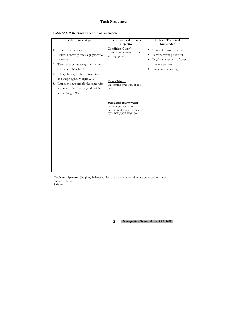|  |  | TASK NO: 9 Determine over-run of Ice cream. |
|--|--|---------------------------------------------|
|--|--|---------------------------------------------|

|          | Performance steps                                                                                                                                                          | <b>Terminal Performance</b><br>Objective                                                                    | <b>Related Technical</b><br>Knowledge                                                                                      |
|----------|----------------------------------------------------------------------------------------------------------------------------------------------------------------------------|-------------------------------------------------------------------------------------------------------------|----------------------------------------------------------------------------------------------------------------------------|
| 1.<br>2. | Receive instructions.<br>Collect necessary tools, equipment &<br>materials.                                                                                                | Condition(Given):<br>Ice-cream, necessary tools<br>and equipment                                            | Concept of over-run test<br>$\bullet$<br>Factor affecting over-run<br>$\bullet$<br>Legal requirement of over-<br>$\bullet$ |
| 3.       | Take the accurate weight of the ice<br>cream cup. Weight W.                                                                                                                |                                                                                                             | run in ice-cream<br>Procedure of testing                                                                                   |
|          | 4. Fill up the cup with ice cream mix<br>and weigh again. Weight W1.<br>5. Empty the cup and fill the same with<br>ice cream after freezing and weigh<br>again. Weight W2. | Task (What):<br>Determine over-run of Ice<br>cream                                                          |                                                                                                                            |
|          |                                                                                                                                                                            | <b>Standards (How well):</b><br>Percentage over-run<br>determined using formula as<br>$(W1-W2)/(W2-W)*100.$ |                                                                                                                            |

**Tools/equipment:** Weighing balance (at least two decimals) and an ice cram cup of specific known volume.

**Safety:**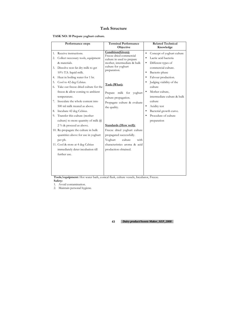**TASK NO: 10 Prepare yoghurt culture.** 

|                                        | Performance steps                                                                                                                                                                                                                                                                                                                       | <b>Terminal Performance</b><br>Objective                                                                                                                                                                                                                | <b>Related Technical</b><br>Knowledge                                                                                                                                                                                                                                                                 |
|----------------------------------------|-----------------------------------------------------------------------------------------------------------------------------------------------------------------------------------------------------------------------------------------------------------------------------------------------------------------------------------------|---------------------------------------------------------------------------------------------------------------------------------------------------------------------------------------------------------------------------------------------------------|-------------------------------------------------------------------------------------------------------------------------------------------------------------------------------------------------------------------------------------------------------------------------------------------------------|
| 1.<br>2.<br>3.<br>4.<br>5.<br>6.<br>7. | Receive instructions.<br>Collect necessary tools, equipment<br>& materials.<br>Dissolve non fat dry milk to get<br>10% T.S. liquid milk.<br>Heat in boiling water for 1 hr.<br>Cool to 42 deg Celsius.<br>Take out freeze dried culture for the<br>freeze & allow coming to ambient<br>temperature.<br>Inoculate the whole content into | Condition(Given):<br>Freeze dried commercial<br>culture in used to prepare<br>mother, intermediate & bulk<br>culture for yoghurt<br>preparation.<br>Task (What):<br>Prepare milk for<br>yoghurt<br>culture propagation.<br>Propagate culture & evaluate | Concept of yoghurt culture<br>$\bullet$<br>Lactic acid bacteria<br>Different types of<br>$\bullet$<br>commercial culture.<br>Bacterio phase<br>$\bullet$<br>Falvour production.<br>٠<br>Judging viability of the<br>culture<br>Mother culture,<br>$\bullet$<br>intermediate culture & bulk<br>culture |
| 8.<br>9.                               | 500 ml milk treated as above.<br>Incubate 42 deg Celsius.<br>Transfer this culture (mother<br>culture) to more quantity of milk $\omega$<br>2 % & proceed as above.<br>10. Re-propagate the culture in bulk<br>quantities above for use in yoghurt<br>per ph.<br>11. Cool & store at 4 deg Celsius                                      | the quality.<br><b>Standards (How well):</b><br>Freeze dried yoghurt culture<br>propagated successfully.<br>Yoghurt<br>culture<br>with<br>characteristics aroma & acid                                                                                  | Acidity test<br>$\bullet$<br>Bacterial growth curve.<br>Procedure of culture<br>preparation                                                                                                                                                                                                           |
|                                        | immediately deter incubation till<br>further use.<br>TT.<br>$\cdot$ 1                                                                                                                                                                                                                                                                   | production obtained.<br>$1 \sigma$<br>$\mathbf{T}$                                                                                                                                                                                                      | $\mathbf{L}$                                                                                                                                                                                                                                                                                          |

**Tools/equipment:** Hot water bath, conical flask, culture vessels, Incubator, Freeze. **Safety:** 

1. Avoid contamination.

2. Maintain personal hygiene.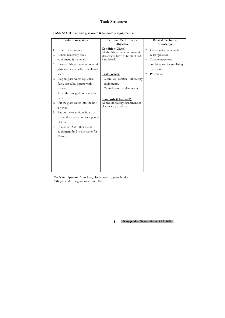|  | TASK NO: 11 Sanitize glassware & laboratory equipments. |  |  |
|--|---------------------------------------------------------|--|--|
|--|---------------------------------------------------------|--|--|

|    | Performance steps                   | <b>Terminal Performance</b><br>Objective                            |           | <b>Related Technical</b><br>Knowledge |
|----|-------------------------------------|---------------------------------------------------------------------|-----------|---------------------------------------|
| 1. | Receive instructions.               | Condition(Given):                                                   | $\bullet$ | Construction of autoclave             |
| 2. | Collect necessary tools,            | All the laboratory equipment &<br>glass wares have to be sterilized |           | & its operation                       |
|    | equipment & materials.              | / sanitized.                                                        | $\bullet$ | Time temperature                      |
| 3. | Clean all laboratory equipment &    |                                                                     |           | combination for sterilizing           |
|    | glass wares manually using liquid   |                                                                     |           | glass wares                           |
|    | soap.                               | Task (What):                                                        |           | Procedure                             |
| 4. | Plug all glass wares e.g. uncial    | Clean & sanitize laboratory                                         |           |                                       |
|    | flask, test tube, pipette with      | equipments.                                                         |           |                                       |
|    | cotton.                             | Clean & sanitize glass wares.                                       |           |                                       |
| 5. | Wrap the plugged portion with       |                                                                     |           |                                       |
|    | paper.                              | <b>Standards (How well):</b>                                        |           |                                       |
|    | 6. Put the glass wares into the hot | All the laboratory equipment &                                      |           |                                       |
|    | air oven.                           | glass ware / sterilized.                                            |           |                                       |
| 7. | Put on the oven & maintain at       |                                                                     |           |                                       |
|    | required temperature for a period   |                                                                     |           |                                       |
|    | of time.                            |                                                                     |           |                                       |
| 8. | In case of SS & other metal         |                                                                     |           |                                       |
|    | equipment, boil in hot water for    |                                                                     |           |                                       |
|    | $10$ min.                           |                                                                     |           |                                       |
|    |                                     |                                                                     |           |                                       |
|    |                                     |                                                                     |           |                                       |
|    |                                     |                                                                     |           |                                       |
|    |                                     |                                                                     |           |                                       |
|    |                                     |                                                                     |           |                                       |
|    |                                     |                                                                     |           |                                       |
|    |                                     |                                                                     |           |                                       |

**Tools/equipment:** Autoclave, Hot air oven, pipette holder. **Safety:** handle the glass ware carefully.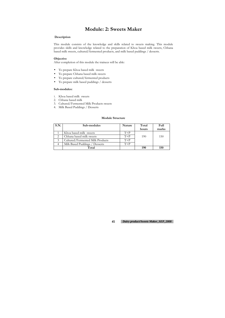# **Module: 2: Sweets Maker**

#### **Description**

This module consists of the knowledge and skills related to sweets making. This module provides skills and knowledge related to the preparation of Khoa based milk sweets, Chhana based milk sweets, cultured/fermented products, and milk based puddings / desserts.

#### **Objective**

After completion of this module the trainees will be able:

- To prepare Khoa based milk sweets
- To prepare Chhana based milk sweets
- To prepare cultured/fermented products
- To prepare milk based puddings / desserts

#### **Sub-modules:**

- 1. Khoa based milk sweets
- 2. Chhana based milk
- 3. Cultured/Fermented Milk Products sweets
- 4. Milk Based Puddings / Desserts

#### **Module Structure**

| S.N. | Sub-modules                      | Nature | Total | Full  |
|------|----------------------------------|--------|-------|-------|
|      |                                  |        | hours | marks |
|      | Khoa based milk sweets           | $T+P$  |       |       |
|      | Chhana based milk sweets         | $T+P$  | 190   | 150   |
|      | Cultured/Fermented Milk Products | $T+P$  |       |       |
|      | Milk Based Puddings / Desserts   | $T+P$  |       |       |
|      | Total                            |        | 190   | 150   |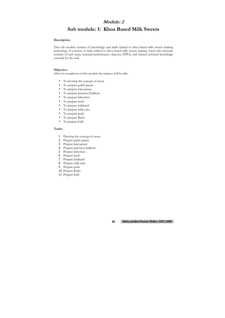### **Module: 2**

# **Sub module: 1: Khoa Based Milk Sweets**

#### **Description:**

This sub module consists of knowledge and skills related to khoa based milk sweets making technology. It consists of tasks related to khoa based milk sweets making. Each task structure consists of task steps, terminal performance objective [TPO], and related technical knowledge essential for the task.

#### **Objective:**

After its completion of this module the trainees will be able:

- To develop the concept of sweet
- To prepare gulab jamun
- To prepare kala-jamun
- To prepare pantuwa/ledikeni
- To prepare lalmohan
- To prepare burfi
- To prepare kalakand
- To prepare milk cake
- To prepare peda
- To prepare Rabri
- To prepare kulfi

#### **Tasks:**

- 1 Develop the concept of sweet
- 2 Prepare gulab jamun
- 3 Prepare kala-jamun
- 4 Prepare pantuwa/ledikeni
- 5 Prepare lalmohan
- 6 Prepare burfi
- 7 Prepare kalakand
- 8 Prepare milk cake
- 9 Prepare peda
- 10 Prepare Rabri
- 11 Prepare kulfi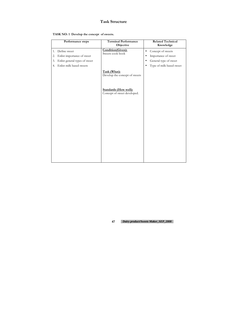|  | TASK NO: 1 Develop the concept of sweets. |  |
|--|-------------------------------------------|--|
|--|-------------------------------------------|--|

|                | Performance steps                                                           | <b>Terminal Performance</b><br>Objective                    | <b>Related Technical</b><br>Knowledge                                                       |
|----------------|-----------------------------------------------------------------------------|-------------------------------------------------------------|---------------------------------------------------------------------------------------------|
| 1.<br>2.<br>3. | Define sweet<br>Enlist importance of sweet<br>Enlist general types of sweet | Condition(Given):<br>Sweets cook book                       | Concept of sweets<br>$\bullet$<br>Importance of sweet<br>General type of sweet<br>$\bullet$ |
| 4.             | Enlist milk based sweets                                                    | Task (What):                                                | Type of milk based sweet<br>$\bullet$                                                       |
|                |                                                                             | Develop the concept of sweets                               |                                                                                             |
|                |                                                                             | <b>Standards (How well):</b><br>Concept of sweet developed. |                                                                                             |
|                |                                                                             |                                                             |                                                                                             |
|                |                                                                             |                                                             |                                                                                             |
|                |                                                                             |                                                             |                                                                                             |
|                |                                                                             |                                                             |                                                                                             |
|                |                                                                             |                                                             |                                                                                             |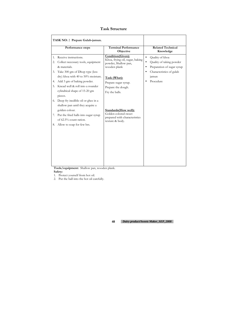| <b>Task Structure</b> |  |
|-----------------------|--|
|-----------------------|--|

|                | TASK NO: 2 Prepare Gulab-jamun.                                                                                                                                                                |                                                                                                   |                                                                                                     |
|----------------|------------------------------------------------------------------------------------------------------------------------------------------------------------------------------------------------|---------------------------------------------------------------------------------------------------|-----------------------------------------------------------------------------------------------------|
|                | <b>Performance steps</b>                                                                                                                                                                       | <b>Terminal Performance</b><br>Objective                                                          | <b>Related Technical</b><br>Knowledge                                                               |
| 1.<br>2.       | Receive instructions.<br>Collect necessary tools, equipment<br>& materials.                                                                                                                    | Condition(Given):<br>Khoa, frying oil, sugar, baking<br>powder, Shallow pan,<br>wooden plank      | Quality of khoa<br>$\bullet$<br>Quality of taking powder<br>Preparation of sugar syrup<br>$\bullet$ |
| 3.<br>4.<br>5. | Take 300 gm of Dhop type (less<br>dry) khoa with 40 to 50% moisture.<br>Add 3 gm of baking powder.<br>Knead well & roll into a rounder<br>cylindrical shape of 15-20 gm<br>pieces.             | Task (What):<br>Prepare sugar syrup.<br>Prepare the dough.<br>Fry the balls.                      | Characteristics of gulab<br>$\bullet$<br>jamun<br>Procedure                                         |
| 8.             | 6. Deep fry inedible oil or ghee in a<br>shallow pan until they acquire a<br>golden colour.<br>7. Put the fried halls into sugar syrup<br>of 62.5% count ration.<br>Allow to soap for few hrs. | Standards (How well):<br>Golden colored sweet<br>prepared with characteristics<br>texture & body. |                                                                                                     |
|                |                                                                                                                                                                                                |                                                                                                   |                                                                                                     |

**Tools/equipment:** Shallow pan, wooden plank. **Safety:** 

1. Protect yourself from hot oil.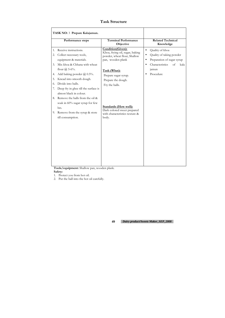|                                        | Performance steps                                                                                                                                                                                                                                          | <b>Terminal Performance</b><br>Objective                                                                                                                                                  | <b>Related Technical</b><br>Knowledge                                                                                                                                                             |
|----------------------------------------|------------------------------------------------------------------------------------------------------------------------------------------------------------------------------------------------------------------------------------------------------------|-------------------------------------------------------------------------------------------------------------------------------------------------------------------------------------------|---------------------------------------------------------------------------------------------------------------------------------------------------------------------------------------------------|
| 1.<br>2.<br>3.<br>4.<br>5.<br>6.<br>7. | Receive instructions.<br>Collect necessary tools,<br>equipment & materials.<br>Mix khoa & Chhana with wheat<br>flour $\omega$ 5-6%.<br>Add baking powder @ 0.5%.<br>Knead into smooth dough.<br>Divide into balls.<br>Deep fry in ghee till the surface is | Condition(Given):<br>Khoa, frying oil, sugar, baking<br>powder, wheat flour, Shallow<br>pan, wooden plank<br>Task (What):<br>Prepare sugar syrup.<br>Prepare the dough.<br>Fry the balls. | Quality of khoa<br>$\bullet$<br>Quality of taking powder<br>$\bullet$<br>Preparation of sugar syrup<br>$\bullet$<br>Characteristics<br>of<br>kala<br>$\bullet$<br>jamun<br>Procedure<br>$\bullet$ |
|                                        | almost black in colour.<br>8. Remove the balls from the oil &<br>soak in 60% sugar syrup for few<br>hrs.<br>9. Remove from the syrup & store<br>till consumption.                                                                                          | <b>Standards (How well):</b><br>Dark colored sweet prepared<br>with characteristics texture &<br>body.                                                                                    |                                                                                                                                                                                                   |
|                                        |                                                                                                                                                                                                                                                            |                                                                                                                                                                                           |                                                                                                                                                                                                   |

**Tools/equipment:** Shallow pan, wooden plank. **Safety:** 

1. Protect you from hot oil.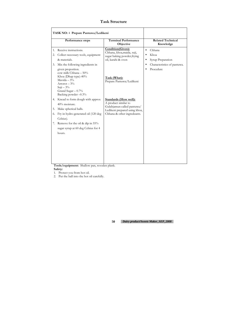|                | TASK NO: 4 Prepare Pantuwa/Ledikeni                                                                                                                                 |                                                                                                      |                                                                                                                        |
|----------------|---------------------------------------------------------------------------------------------------------------------------------------------------------------------|------------------------------------------------------------------------------------------------------|------------------------------------------------------------------------------------------------------------------------|
|                | Performance steps                                                                                                                                                   | <b>Terminal Performance</b><br>Objective                                                             | <b>Related Technical</b><br>Knowledge                                                                                  |
| 1.<br>2.<br>3. | Receive instructions.<br>Collect necessary tools, equipment<br>& materials.<br>Mix the following ingredients in                                                     | Condition(Given):<br>Chhana, khoa, maida, suji,<br>sugar baking powder, frying<br>oil, karahi & oven | Chhana<br>$\bullet$<br>Khoa<br>$\bullet$<br>Syrup Preparation<br>$\bullet$<br>Characteristics of pantuwa.<br>$\bullet$ |
|                | given proportion.<br>cow milk Chhana - 50%<br>Khoa (Dhap type)-40%<br>Mavida $-3%$<br>Arrorot $-3\%$<br>$Suii - 3%$<br>Grand Sugar $-0.7\%$<br>Backing powder -0.3% | Task (What):<br>Prepare Pantuwa/Ledikeni                                                             | Procedure                                                                                                              |
| 4.             | Knead to form dough with approx<br>40% moisture.                                                                                                                    | <b>Standards (How well):</b><br>A product similar to<br>Gulabjamun called pantuwa/                   |                                                                                                                        |
| 5.             | Make spherical balls.                                                                                                                                               | Ledikeni prepared using khoa,                                                                        |                                                                                                                        |
| 6.             | Fry in hydro-generated oil (120 deg<br>Celsius).                                                                                                                    | Chhana & other ingredeants.                                                                          |                                                                                                                        |
| 7.             | Remove for the oil & dip in 55%<br>sugar syrup at 60 deg Celsius for 4<br>hours.                                                                                    |                                                                                                      |                                                                                                                        |
|                |                                                                                                                                                                     |                                                                                                      |                                                                                                                        |

**Tools/equipment:** Shallow pan, wooden plank. **Safety:** 

1. Protect you from hot oil.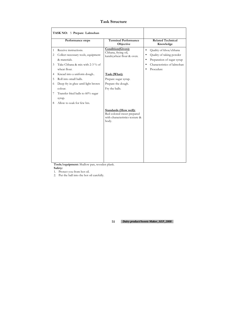|             | TASK NO: 5 Prepare Lalmohan                                                                                                    |                                                                                                       |                                                                                                                                                                                               |
|-------------|--------------------------------------------------------------------------------------------------------------------------------|-------------------------------------------------------------------------------------------------------|-----------------------------------------------------------------------------------------------------------------------------------------------------------------------------------------------|
|             | Performance steps                                                                                                              | <b>Terminal Performance</b><br>Objective                                                              | <b>Related Technical</b><br>Knowledge                                                                                                                                                         |
| 1<br>2<br>3 | Receive instructions.<br>Collect necessary tools, equipment<br>& materials.<br>Take Chhana & mix with 2-3 % of<br>wheat flour. | Condition(Given):<br>Chhana, frying oil,<br>karahi, wheat flour & oven.                               | Quality of khoa/chhana<br>$\bullet$<br>Quality of taking powder<br>$\bullet$<br>Preparation of sugar syrup<br>$\bullet$<br>Characteristics of lalmohan<br>$\bullet$<br>Procedure<br>$\bullet$ |
| 4           | Knead into a uniform dough                                                                                                     | Task (What):                                                                                          |                                                                                                                                                                                               |
| 5           | Roll into small balls.                                                                                                         | Prepare sugar syrup.                                                                                  |                                                                                                                                                                                               |
| 6           | Deep fry in ghee until light brown                                                                                             | Prepare the dough.                                                                                    |                                                                                                                                                                                               |
|             | colour.                                                                                                                        | Fry the balls.                                                                                        |                                                                                                                                                                                               |
| 7           | Transfer fried balls to 60% sugar                                                                                              |                                                                                                       |                                                                                                                                                                                               |
|             | syrup.                                                                                                                         |                                                                                                       |                                                                                                                                                                                               |
| 8           | Allow to soak for few hrs.                                                                                                     |                                                                                                       |                                                                                                                                                                                               |
|             |                                                                                                                                | <b>Standards (How well):</b><br>Red colored sweet prepared<br>with characteristics texture &<br>body. |                                                                                                                                                                                               |

**Tools/equipment:** Shallow pan, wooden plank. **Safety:** 

1. Protect you from hot oil.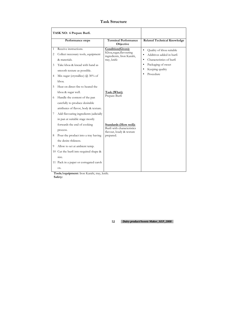|                        | Performance steps                                                                                                                                                                                          | <b>Terminal Performance</b><br>Objective                                                            | <b>Related Technical Knowledge</b>                                                                                                                         |
|------------------------|------------------------------------------------------------------------------------------------------------------------------------------------------------------------------------------------------------|-----------------------------------------------------------------------------------------------------|------------------------------------------------------------------------------------------------------------------------------------------------------------|
| $\mathbf{1}$<br>2<br>3 | Receive instructions.<br>Collect necessary tools, equipment<br>& materials.<br>Take khoa & knead with hand as                                                                                              | Condition(Given):<br>Khoa, sugar, flavouring<br>ingredients, Iron Karahi,<br>tray, knife            | Quality of khoa suitable<br>$\bullet$<br>Additives added in burfi<br>$\bullet$<br>Characteristics of burfi<br>$\bullet$<br>Packaging of sweet<br>$\bullet$ |
| 4<br>5                 | smooth texture as possible.<br>Mix sugar (crystallice) $\omega$ 30% of<br>khoa.<br>Heat on direct fire to heated the                                                                                       |                                                                                                     | Keeping quality<br>Procedure                                                                                                                               |
| 6<br>7                 | khoa & sugar well.<br>Handle the content of the pan<br>carefully to produce desirable<br>attributes of flavor, body & texture.<br>Add flavouring ingredients judicially<br>in pan at suitable stage mostly | Task (What):<br>Prepare Burfi                                                                       |                                                                                                                                                            |
| 8<br>9                 | forwards the end of cooking<br>process.<br>Pour the product into a tray having<br>the desire thikness.<br>Allow to set at ambient temp.<br>10 Cut the burfi into required shape &<br>size.                 | <b>Standards (How well):</b><br>Burfi with characteristics<br>flavour, loudy & texture<br>prepared. |                                                                                                                                                            |
|                        | 11 Pack in a paper or corrugated carob<br>OX.                                                                                                                                                              |                                                                                                     |                                                                                                                                                            |

**Tools/equipment:** Iron Karahi, tray, knife. **Safety:**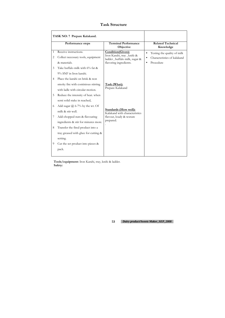| <b>Task Structure</b> |
|-----------------------|
|-----------------------|

|                          | TASK NO: 7 Prepare Kalakand.                                                                                                                                               |                                                                                                            |                                                                                      |
|--------------------------|----------------------------------------------------------------------------------------------------------------------------------------------------------------------------|------------------------------------------------------------------------------------------------------------|--------------------------------------------------------------------------------------|
|                          | <b>Performance steps</b>                                                                                                                                                   | <b>Terminal Performance</b><br>Objective                                                                   | <b>Related Technical</b><br>Knowledge                                                |
| 1<br>$\overline{2}$<br>3 | Receive instructions.<br>Collect necessary tools, equipment<br>& materials.<br>Take buffalo milk with 6% fat &                                                             | Condition(Given):<br>Iron Karahi, tray, knife &<br>ladder, buffalo milk, sugar &<br>flavoring ingredients. | Testing the quality of milk<br>$\bullet$<br>Characteristics of kalakand<br>Procedure |
| 4<br>5                   | 9% SNF in Iron karahi.<br>Place the karahi on brisk & non<br>smoky fire with continious stirring<br>with ladle with circular motion.<br>Reduce the intensity of heat. when | Task (What):<br>Prepare Kalakand                                                                           |                                                                                      |
| 6<br>7                   | semi solid stake in reached,<br>Add sugar $\omega$ 6-7% by the wt. Of<br>milk & stir well.<br>Add chopped nuts & flavouring                                                | <b>Standards (How well):</b><br>Kalakand with characteristics<br>flavour, loudy & texture                  |                                                                                      |
| 8                        | ingredients & stir for minutes more.<br>Transfer the fired product into a<br>tray greased with ghee for cutting &<br>setting.                                              | prepared.                                                                                                  |                                                                                      |
| 9                        | Cut the set product into pieces &<br>pack.                                                                                                                                 |                                                                                                            |                                                                                      |

**Tools/equipment:** Iron Karahi, tray, knife & ladder. **Safety:**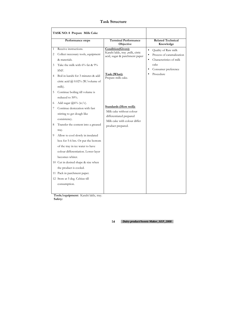|                  | Performance steps                                                                                                                                                              | <b>Terminal Performance</b><br>Objective                                                                                     | <b>Related Technical</b><br>Knowledge                                                                                                             |
|------------------|--------------------------------------------------------------------------------------------------------------------------------------------------------------------------------|------------------------------------------------------------------------------------------------------------------------------|---------------------------------------------------------------------------------------------------------------------------------------------------|
| 1<br>2<br>3<br>4 | Receive instructions.<br>Collect necessary tools, equipment<br>& materials.<br>Take the milk with $6\%$ fat & $9\%$<br>SNF.<br>Boil in karahi for 3 minutes & add              | Condition(Given):<br>Karahi lakle, tray ,milk, citric<br>acid, sugar & parchment paper<br>Task (What):<br>Prepare milk cake. | Quality of Raw milk<br>$\bullet$<br>Process of caramalization<br>Characteristics of milk<br>$\bullet$<br>cake<br>Consumer preference<br>Procedure |
| 5                | citric acid $@$ 0.02% (W/volume of<br>milk).<br>Continue boiling till volume is<br>reduced to 50%.                                                                             |                                                                                                                              |                                                                                                                                                   |
| 6<br>7<br>8      | Add sugar $@6\%$ (w/v).<br>Continue desiccation with fast<br>stirring to get dough like<br>consistency.<br>Transfer the content into a greased                                 | <b>Standards (How well):</b><br>Milk cake without colour<br>differentiated prepared<br>Milk cake with colour differ          |                                                                                                                                                   |
| 9                | tray.<br>Allow to cool slowly in insulated<br>box for 5-6 hrs. Or put the bottom<br>of the tray in ice water to have<br>colour differentiation. Lower layer<br>becomes whiter. | product prepared.                                                                                                            |                                                                                                                                                   |
|                  | 10 Cut in desired shape & size when<br>the product is cooled.<br>11 Pack in parchment paper.<br>12 Store at 5 deg. Celsius till<br>consumption.                                |                                                                                                                              |                                                                                                                                                   |

**Tools/equipment:** Karahi lakle, tray. **Safety:**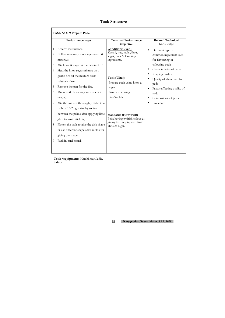|                               | TASK NO: 9 Prepare Peda                                                                                                                                                                                                                                                           |                                                                                                               |                                                                                                                                |
|-------------------------------|-----------------------------------------------------------------------------------------------------------------------------------------------------------------------------------------------------------------------------------------------------------------------------------|---------------------------------------------------------------------------------------------------------------|--------------------------------------------------------------------------------------------------------------------------------|
|                               | Performance steps                                                                                                                                                                                                                                                                 | <b>Terminal Performance</b><br>Objective                                                                      | <b>Related Technical</b><br>Knowledge                                                                                          |
| 1<br>2<br>3<br>$\overline{4}$ | Receive instructions.<br>Collect necessary tools, equipment &<br>materials.<br>Mix khoa & sugar in the ration of 3:1.<br>Heat the khoa-sugar mixture on a                                                                                                                         | Condition(Given):<br>Karahi, tray, ladle., khoa,<br>sugar, nuts & flavoring<br>ingredients.                   | Different type of<br>$\bullet$<br>common ingredient used<br>for flavouring or<br>colouring peda<br>Characteristics of peda.    |
| 5<br>6                        | gentle fire till the mixture turns<br>relatively firm.<br>Remove the pan for the fire.<br>Mix nuts & flavouring substances if<br>needed.                                                                                                                                          | Task (What):<br>Prepare peda using khoa &<br>sugar.<br>Give shape using<br>dies/molds.                        | Keeping quality<br>Quality of khoa used for<br>peda<br>Factor affecting quality of<br>$\bullet$<br>peda<br>Composition of peda |
| 7<br>8<br>9                   | Mix the content thoroughly make into<br>balls of 15-20 gm size by rolling<br>between the palms after applying little<br>ghee to avoid sticking.<br>Flatten the balls to give the disk shape<br>or use different shapes dies molds for<br>giving the shape.<br>Pack in card board. | <b>Standards (How well):</b><br>Peda having whitish colour &<br>grainy texture prepared from<br>khoa & sugar. | Procedure                                                                                                                      |

**Tools/equipment:** Karahi, tray, ladle. **Safety:**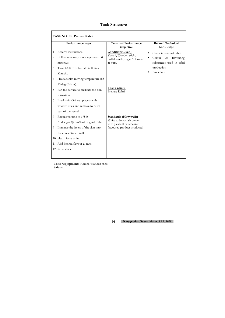|                                         | TASK NO: 10 Prepare Rabri.                                                                                                                                                                                                                                                             |                                                                                                                          |                                                                                                                               |
|-----------------------------------------|----------------------------------------------------------------------------------------------------------------------------------------------------------------------------------------------------------------------------------------------------------------------------------------|--------------------------------------------------------------------------------------------------------------------------|-------------------------------------------------------------------------------------------------------------------------------|
|                                         | Performance steps                                                                                                                                                                                                                                                                      | <b>Terminal Performance</b><br>Objective                                                                                 | <b>Related Technical</b><br>Knowledge                                                                                         |
| 1<br>2<br>3<br>$\overline{4}$<br>5<br>6 | Receive instructions.<br>Collect necessary tools, equipment &<br>materials.<br>Take 3-4 litre of buffalo milk in a<br>Karachi.<br>Heat at shim moving temperature (85-<br>90 deg Celsius).<br>Fan the surface to facilitate the skin<br>formation.<br>Break skin (3-4 can pieces) with | Condition(Given):<br>Karahi, Wooden stick,<br>buffalo milk, sugar & flavour<br>& nuts.<br>Task (What):<br>Prepare Rabri. | Characteristics of rabri.<br>$\bullet$<br>Colour<br>$\&$<br>flavouring<br>substances used in rabri<br>production<br>Procedure |
| 7<br>8<br>9                             | wooden stick and remove to cuter<br>part of the vessel.<br>Reduce volume to $1/5$ th<br>Add sugar $(a)$ 5-6% of original milk.<br>Immerse the layers of the skin into<br>the concentrated milk.<br>10 Heat for a white.<br>11 Add desired flavour & nuts.<br>12 Serve chilled.         | <b>Standards (How well):</b><br>White to brownish colour<br>with pleasant caramelized<br>flavoured product produced.     |                                                                                                                               |

**Tools/equipment:** Karahi, Wooden stick. **Safety:**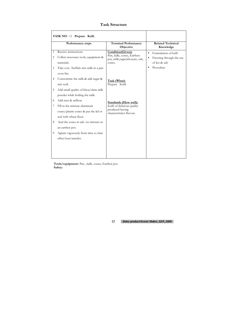|                                     | TASK NO: 11 Prepare Kulfi.                                                                                                                                                                       |                                                                                                           |                                                                                             |
|-------------------------------------|--------------------------------------------------------------------------------------------------------------------------------------------------------------------------------------------------|-----------------------------------------------------------------------------------------------------------|---------------------------------------------------------------------------------------------|
|                                     | Performance steps                                                                                                                                                                                | <b>Terminal Performance</b><br>Objective                                                                  | <b>Related Technical</b><br>Knowledge                                                       |
| $\mathbf{1}$<br>$\overline{2}$<br>3 | Receive instructions.<br>Collect necessary tools, equipment &<br>materials.<br>Take cow /buffalo mix milk in a pan<br>oven fire.                                                                 | Condition(Given):<br>Pan, ladle, cones, Earthen<br>pot, milk, sugar, khoa, ice, salt,<br>cones.           | Formulation of kulfi<br>$\bullet$<br>Freezing through the use<br>of Ice & salt<br>Procedure |
| 4<br>5                              | Concentrate the milk & add sugar &<br>mix well.<br>Add small quality of khoa/skim milk                                                                                                           | Task (What):<br>Prepare Kulfi                                                                             |                                                                                             |
| 6<br>7<br>8                         | powder while boiling the milk.<br>Add nuts & saffron.<br>Fill in the mixture aluminum<br>cones/plastic cones & put the lid or<br>seal with wheat flour.<br>Seal the cones in salt-ice mixture in | <b>Standards (How well):</b><br>Kulfi of delicious quality<br>produced having<br>characteristics flavour. |                                                                                             |
| 9                                   | an earthen pot.<br>Agitate vigorously from time to time<br>effect heat transfer.                                                                                                                 |                                                                                                           |                                                                                             |

**Tools/equipment:** Pan , ladle, cones, Earthen pot. **Safety:**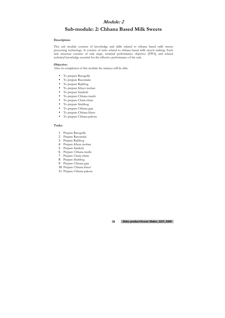### **Module: 2**

# **Sub-module: 2: Chhana Based Milk Sweets**

#### **Description:**

This sub module consists of knowledge and skills related to chhana based milk sweets processing technology. It consists of tasks related to chhana based milk sweets making. Each task structure consists of task steps, terminal performance objective [TPO], and related technical knowledge essential for the effective performance of the task.

#### **Objective:**

After its completion of this module the trainees will be able:

- To prepare Rasogolla
- To prepare Rasomalai
- To prepare Rajbhog
- To prepare Kheer mohan
- To prepare Sandesh
- To prepare Chhana murki
- To prepare Cham-cham
- To prepare Sitabhog
- To prepare Chhana gaja
- To prepare Chhana kheer
- To prepare Chhana pakora

#### **Tasks:**

- 1 Prepare Rasogolla
- 2 Prepare Rasomalai
- 3 Prepare Rajbhog
- 4 Prepare Kheer mohan
- 5 Prepare Sandesh
- 6 Prepare Chhana murki
- 7 Prepare Cham-cham
- 8 Prepare Sitabhog
- 9 Prepare Chhana gaja
- 10 Prepare Chhana kheer
- 11 Prepare Chhana pakora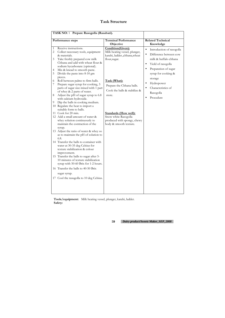|                                  | TASK NO: 1 Prepare Rasogolla (Rasabari).                                                                                                                                                                                                                         |                                                                                                               |                                                                                                                                                                                                          |
|----------------------------------|------------------------------------------------------------------------------------------------------------------------------------------------------------------------------------------------------------------------------------------------------------------|---------------------------------------------------------------------------------------------------------------|----------------------------------------------------------------------------------------------------------------------------------------------------------------------------------------------------------|
|                                  | Performance steps                                                                                                                                                                                                                                                | <b>Terminal Performance</b><br>Objective                                                                      | <b>Related Technical</b><br>Knowledge                                                                                                                                                                    |
| $\mathbf{1}$<br>2<br>3<br>4<br>5 | Receive instructions.<br>Collect necessary tools, equipment<br>& materials.<br>Take freshly prepared cow milk<br>Chhana and add with wheat flour &<br>sodium hycarbonate (optional).<br>Mix & knead to smooth paste.<br>Divide the paste into 8-10 gm            | Condition(Given):<br>Milk heating vessel, plunger,<br>karahi, ladder., chhana, wheat<br>flour, sugar.         | Introduction of rasogolla<br>$\bullet$<br>Difference between cow<br>$\bullet$<br>milk & buffalo chhana<br>Yield of rasogolla<br>$\bullet$<br>Preparation of sugar<br>$\bullet$<br>syrup for cooking $\&$ |
| 6<br>7<br>8<br>9                 | pieces.<br>Roll between palms to firm halls.<br>Prepare sugar syrup for cooking, 3<br>parts of sugar size mixed with 1 part<br>of whey & 2 parts of water.<br>Adjust the pH of sugar syrup to 6.8<br>with calcium hydroxide.<br>Dip the balls in cooking medium. | Task (What):<br>Prepare the Chhana balls.<br>Cook the balls & stabilize &<br>store.                           | storage<br>Hydropower<br>Characteristics of<br>Rasogolla<br>Procedure<br>$\bullet$                                                                                                                       |
|                                  | 10 Regulate the heat to import a<br>suitable form to balls.<br>11 Cook for 20 min.<br>12 Add a small amount of water &<br>whey solution continuously to<br>maintain the contraction of the<br>syrup.<br>13 Adjust the ratio of water & whey so                   | <b>Standards (How well):</b><br>Snow white Rasogolla<br>produced with spongy, chewy<br>body & smooth texture. |                                                                                                                                                                                                          |
|                                  | as to maintain the pH of solution to<br>6.8.<br>14 Transfer the balls to container with<br>water at 30-35 deg Celsius for<br>texture stabilization & colour<br>improvement.<br>15 Transfer the balls to sugar after 5-<br>10 minutes of texture stabilization    |                                                                                                               |                                                                                                                                                                                                          |
|                                  | syrup with 50-60 Brix for 1-2 hours.<br>16 Transfer the balls to 40-50 Brix<br>sugar syrup.<br>17 Cool the rasugolla to 10 deg Celsius.                                                                                                                          |                                                                                                               |                                                                                                                                                                                                          |

**Tools/equipment:** Milk heating vessel, plunger, karahi, ladder. **Safety:**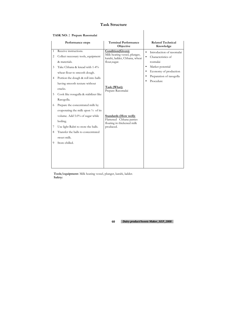### **TASK NO:** 2 **Prepare Rasomalai**

|                | Performance steps                              | <b>Terminal Performance</b><br>Objective                       | <b>Related Technical</b><br>Knowledge  |
|----------------|------------------------------------------------|----------------------------------------------------------------|----------------------------------------|
| $\mathbf{1}$   | Receive instructions.                          | Condition(Given):                                              | Introduction of rasomalai<br>$\bullet$ |
| $\overline{2}$ | Collect necessary tools, equipment             | Milk heating vessel, plunger,<br>karahi, ladder, Chhana, wheat | Characteristics of<br>$\bullet$        |
|                | & materials.                                   | flour, sugar.                                                  | rosmalai                               |
| 3              | Take Chhana & knead with 1-4%                  |                                                                | Market potential<br>$\bullet$          |
|                | wheat flour to smooth dough.                   |                                                                | Economy of production<br>$\bullet$     |
| 4              | Portion the dough & roll into balls            |                                                                | Preparation of rasogolla<br>$\bullet$  |
|                | having smooth texture without                  |                                                                | Procedure                              |
|                | cracks.                                        | Task (What):<br>Prepare Rasomalai                              |                                        |
| 5              | Cook like rosugulla & stabilizer like          |                                                                |                                        |
|                | Rasogolla.                                     |                                                                |                                        |
| 6              | Prepare the concentrated milk by               |                                                                |                                        |
|                | evaporating the milk upon $\frac{1}{4}$ of its |                                                                |                                        |
|                | volume. Add 5.0% of sugar while                | <b>Standards (How well):</b>                                   |                                        |
|                | boiling.                                       | Flattened Chhana patties<br>floating in thickened milk         |                                        |
| 7              | Use light Rabri to store the balls.            | produced.                                                      |                                        |
| 8              | Transfer the balls to concentrated             |                                                                |                                        |
|                | sweet milk.                                    |                                                                |                                        |
| 9              | Store chilled.                                 |                                                                |                                        |
|                |                                                |                                                                |                                        |
|                |                                                |                                                                |                                        |
|                |                                                |                                                                |                                        |
|                |                                                |                                                                |                                        |

**Tools/equipment:** Milk heating vessel, plunger, karahi, ladder. **Safety:**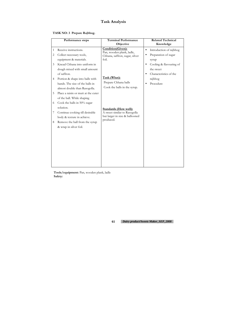# **Task Analysis**

| TASK NO: 3 Prepare Rajbhog. |  |  |
|-----------------------------|--|--|
|-----------------------------|--|--|

|                                | Performance steps                                                                                   | <b>Terminal Performance</b><br>Objective                                                  | <b>Related Technical</b><br>Knowledge                                                    |
|--------------------------------|-----------------------------------------------------------------------------------------------------|-------------------------------------------------------------------------------------------|------------------------------------------------------------------------------------------|
| $\mathbf{1}$<br>$\overline{2}$ | Receive instructions.<br>Collect necessary tools,<br>equipment & materials.                         | Condition(Given):<br>Pan, wooden plank, ladle,<br>Chhana, saffron, sugar, silver<br>foil. | Introduction of rajbhog<br>$\bullet$<br>Preparation of sugar<br>syrup                    |
| 3                              | Knead Chhana into uniform in<br>dough mixed with small amount<br>of saffron.                        |                                                                                           | Cooling & flavouring of<br>$\bullet$<br>the sweet<br>Characteristics of the<br>$\bullet$ |
| 4                              | Portion & shape into balls with<br>hands. The size of the balls in<br>almost double than Rasogolla. | Task (What):<br>Prepare Chhana balls<br>Cook the balls in the syrup.                      | rajbhog<br>Procedure                                                                     |
| 5                              | Place a raisin or mutt at the cuter<br>of the ball. While shaping                                   |                                                                                           |                                                                                          |
| 6                              | Cook the balls in $50\%$ sugar<br>solution.                                                         | <b>Standards (How well):</b>                                                              |                                                                                          |
| 7                              | Continue cooking till desirable<br>body & texture in achieve.                                       | A sweet similar to Rasogolla<br>but larger in size & ballooned                            |                                                                                          |
| 8                              | Remove the ball from the syrup<br>& wrap in silver foil.                                            | produced.                                                                                 |                                                                                          |
|                                |                                                                                                     |                                                                                           |                                                                                          |
|                                |                                                                                                     |                                                                                           |                                                                                          |

**Tools/equipment:** Pan, wooden plank, ladle **Safety:**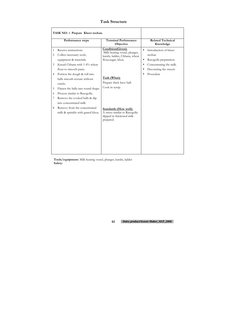|                                            | Performance steps                                                                                                                                                                                                                                                                                                                                     | <b>Terminal Performance</b><br>Objective                                                                                                                                 | <b>Related Technical</b><br>Knowledge                                                                                                                                         |
|--------------------------------------------|-------------------------------------------------------------------------------------------------------------------------------------------------------------------------------------------------------------------------------------------------------------------------------------------------------------------------------------------------------|--------------------------------------------------------------------------------------------------------------------------------------------------------------------------|-------------------------------------------------------------------------------------------------------------------------------------------------------------------------------|
| $\mathbf{1}$<br>2<br>3<br>4<br>5<br>6<br>7 | Receive instructions.<br>Collect necessary tools,<br>equipment & materials.<br>Knead Chhana with 1-4% wheat<br>flour to smooth paste.<br>Portion the dough & roll into<br>balls smooth texture without<br>cracks.<br>Flatten the balls into round shape.<br>Process similar to Rasogolla.<br>Remove the cooked balls & dip<br>into concentrated milk. | Condition(Given):<br>Milk heating vessel, plunger,<br>karahi, ladder, Chhana, wheat<br>flour, sugar, khoa.<br>Task (What):<br>Prepare thick have ball.<br>Cook in syrup. | Introduction of kheer<br>$\bullet$<br>mohan<br>Rasogolla preparation.<br>$\bullet$<br>Concentrating the milk.<br>$\bullet$<br>Decorating the sweets<br>$\bullet$<br>Procedure |
| 8                                          | Remove from the concentrated<br>milk & sprinkle with grated khoa.                                                                                                                                                                                                                                                                                     | <b>Standards (How well):</b><br>A sweet similar to Rasogolla<br>dipped in thickened milk<br>prepared.                                                                    |                                                                                                                                                                               |

**Tools/equipment:** Milk heating vessel, plunger, karahi, ladder **Safety:**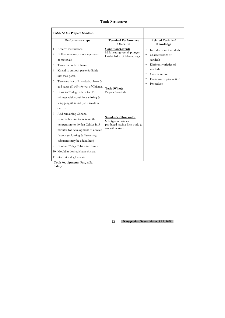|                                           | TASK NO: 5 Prepare Sandesh.                                                                                                                                                                                                                                                                                                                                                                                                                                                                                                                                                                                                                                                      |                                                                                                                                                                                                                                   |                                                                                                                                                                                                           |
|-------------------------------------------|----------------------------------------------------------------------------------------------------------------------------------------------------------------------------------------------------------------------------------------------------------------------------------------------------------------------------------------------------------------------------------------------------------------------------------------------------------------------------------------------------------------------------------------------------------------------------------------------------------------------------------------------------------------------------------|-----------------------------------------------------------------------------------------------------------------------------------------------------------------------------------------------------------------------------------|-----------------------------------------------------------------------------------------------------------------------------------------------------------------------------------------------------------|
|                                           | Performance steps                                                                                                                                                                                                                                                                                                                                                                                                                                                                                                                                                                                                                                                                | <b>Terminal Performance</b><br>Objective                                                                                                                                                                                          | <b>Related Technical</b><br>Knowledge                                                                                                                                                                     |
| 1<br>2<br>3<br>4<br>5<br>6<br>7<br>8<br>9 | Receive instructions.<br>Collect necessary tools, equipment<br>& materials.<br>Take cow milk Chhana.<br>Knead to smooth paste & divide<br>into two parts.<br>Take one hot of kneaded Chhana &<br>add sugar @ $60\%$ (w/w) of Chhana.<br>Cook to 75 deg Celsius for 15<br>minutes with continious stirring &<br>scrapping till initial pat formation<br>occurs.<br>Add remaining Chhana.<br>Resume heating to increase the<br>temperature to 60 deg Celsius in 5<br>minutes for development of cooked<br>flavour (colouring & flavouring<br>substance may be added here).<br>Cool to 37 deg Celsius in 10 min.<br>10 Mould in desired shape & size.<br>11 Store at 7 deg Celsius. | Condition(Given):<br>Milk heating vessel, plunger,<br>karahi, ladder, Chhana, sugar.<br>Task (What):<br>Prepare Sandesh<br><b>Standards (How well):</b><br>Soft type of sandesh<br>produced having firm body &<br>smooth texture. | Introduction of sandesh<br>$\bullet$<br>Characteristics of<br>$\bullet$<br>sundesh<br>Different varieties of<br>$\bullet$<br>sandesh<br>Caramalization<br>$\bullet$<br>Economy of production<br>Procedure |
|                                           | $\text{Total}$                                                                                                                                                                                                                                                                                                                                                                                                                                                                                                                                                                                                                                                                   |                                                                                                                                                                                                                                   |                                                                                                                                                                                                           |

**Tools/equipment:** Pan, ladle. **Safety:**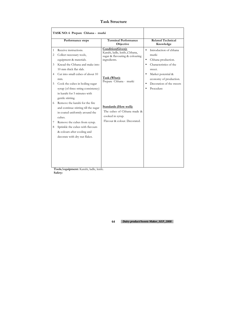| TASK NO: 6 Prepare Chhana - murki   |                                                                                                                                  |                                                                                                       |                                                                                                                        |
|-------------------------------------|----------------------------------------------------------------------------------------------------------------------------------|-------------------------------------------------------------------------------------------------------|------------------------------------------------------------------------------------------------------------------------|
|                                     | Performance steps                                                                                                                | <b>Terminal Performance</b><br>Objective                                                              | <b>Related Technical</b><br>Knowledge                                                                                  |
| $\mathbf{1}$<br>$\overline{2}$<br>3 | Receive instructions.<br>Collect necessary tools,<br>equipment & materials.<br>Knead the Chhana and make into                    | Condition(Given):<br>Karahi, ladle, knife., Chhana,<br>sugar & flavouring & colouring<br>ingredients. | Introduction of chhana<br>$\bullet$<br>murki<br>Chhana production.<br>$\bullet$<br>Characteristics of the<br>$\bullet$ |
| 4<br>5                              | 10 mm thick flat slab.<br>Cut into small cubes of about 10<br>mm.<br>Cook the cubes in boiling sugar                             | Task (What):<br>Prepare Chhana - murki                                                                | sweet.<br>Market potential &<br>$\bullet$<br>economy of production.<br>Decoration of the sweets                        |
|                                     | syrup (of three string consistency)<br>in karahi for 5 minutes with<br>gentle stirring.                                          |                                                                                                       | $\bullet$<br>Procedure<br>$\bullet$                                                                                    |
| 6                                   | Remove the karahi for the fire<br>and continue stirring till the sugar<br>in coated uniformly around the<br>cubes.               | <b>Standards (How well):</b><br>The cubes of Chhana made &<br>cooked in syrup.                        |                                                                                                                        |
| 7<br>8                              | Remove the cubes from syrup.<br>Sprinkle the cubes with flavours<br>& colours after cooling and<br>decorate with dry nut flakes. | Flavour & colour. Decorated.                                                                          |                                                                                                                        |
|                                     |                                                                                                                                  |                                                                                                       |                                                                                                                        |

**Tools/equipment:** Karahi, ladle, knife. **Safety:**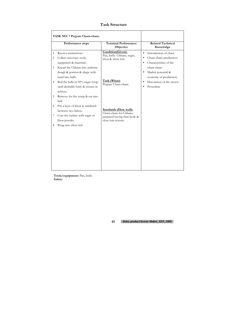| TASK NO: 7 Prepare Cham-cham. |                                                                                                                                                                           |                                                                                                            |                                                                                                                     |
|-------------------------------|---------------------------------------------------------------------------------------------------------------------------------------------------------------------------|------------------------------------------------------------------------------------------------------------|---------------------------------------------------------------------------------------------------------------------|
|                               | Performance steps                                                                                                                                                         | <b>Terminal Performance</b><br>Objective                                                                   | <b>Related Technical</b><br>Knowledge                                                                               |
| 1<br>2<br>3                   | Receive instructions.<br>Collect necessary tools,<br>equipment & materials.<br>Knead the Chhana into uniform                                                              | Condition(Given):<br>Pan, knife. Chhana, sugar,<br>khoa & silver foil.                                     | Introduction of cham<br>$\bullet$<br>Cham-cham production.<br>٠<br>Characteristics of the<br>$\bullet$<br>cham-cham |
| 4<br>5                        | dough & portion & shape with<br>hand into balls.<br>Boil the balls in 50% sugar syrup<br>until desirable body & texture in<br>achieve.<br>Remove for the syrup & cut into | Task (What):<br>Prepare Cham-cham.                                                                         | Market potential &<br>$\bullet$<br>economy of production.<br>Decoration of the sweets<br>Procedure                  |
| 6<br>7<br>8                   | half.<br>Put a layer of khoa as sandwich<br>between two halves.<br>Coat the surface with sugar or<br>khoa powder.<br>Wrap into silver foil.                               | <b>Standards (How well):</b><br>Cham-cham for Chhana<br>prepared having firm body &<br>close knit texture. |                                                                                                                     |
|                               |                                                                                                                                                                           |                                                                                                            |                                                                                                                     |

**Tools/equipment:** Pan, knife. **Safety:**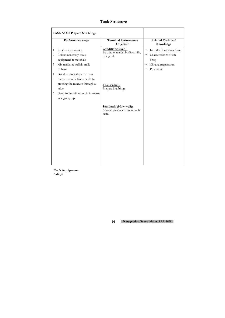|                               | TASK NO: 8 Prepare Sita bhog.                                                                                                                     |                                                                        |                                                                                                                                        |
|-------------------------------|---------------------------------------------------------------------------------------------------------------------------------------------------|------------------------------------------------------------------------|----------------------------------------------------------------------------------------------------------------------------------------|
|                               | Performance steps                                                                                                                                 | <b>Terminal Performance</b><br>Objective                               | <b>Related Technical</b><br>Knowledge                                                                                                  |
| 1<br>$\overline{2}$<br>3<br>4 | Receive instructions.<br>Collect necessary tools,<br>equipment & materials.<br>Mix maida & buffalo milk<br>Chhana.<br>Grind to smooth pasty form. | Condition(Given):<br>Pan, ladle, maida, buffalo milk,<br>frying oil.   | Introduction of sits bhog<br>$\bullet$<br>Characteristics of sita<br>$\bullet$<br>bhog<br>Chhana preparation<br>$\bullet$<br>Procedure |
| 5<br>6                        | Prepare noodle like strands by<br>pressing the mixture through a<br>salve.<br>Deep fry in refined oil & immerse<br>in sugar syrup.                | Task (What):<br>Prepare Sita bhog.                                     |                                                                                                                                        |
|                               |                                                                                                                                                   | <b>Standards (How well):</b><br>A sweet produced having rich<br>taste. |                                                                                                                                        |

**Tools/equipment: Safety:**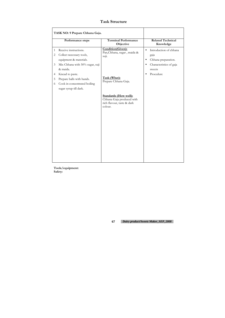|                                                    | TASK NO: 9 Prepare Chhana Gaja.                                                                                                                                                                                                      |                                                                                                                                                                |                                                                                                                                                             |
|----------------------------------------------------|--------------------------------------------------------------------------------------------------------------------------------------------------------------------------------------------------------------------------------------|----------------------------------------------------------------------------------------------------------------------------------------------------------------|-------------------------------------------------------------------------------------------------------------------------------------------------------------|
|                                                    | Performance steps                                                                                                                                                                                                                    | <b>Terminal Performance</b><br>Objective                                                                                                                       | <b>Related Technical</b><br>Knowledge                                                                                                                       |
| $\mathbf{1}$<br>2<br>$\mathfrak{Z}$<br>4<br>5<br>6 | Receive instructions.<br>Collect necessary tools,<br>equipment & materials.<br>Mix Chhana with 50% sugar, suji<br>& maida.<br>Knead to paste.<br>Prepare balls with hands.<br>Cook in concentrated boiling<br>sugar syrup till dark. | Condition(Given):<br>Pan, Chhana, sugar, maida &<br>suji.<br>Task (What):<br>Prepare Chhana Gaja.<br><b>Standards (How well):</b><br>Chhana Gaja produced with | Introduction of chhana<br>$\bullet$<br>gaja<br>Chhana preparation.<br>$\bullet$<br>Characteristics of gaja<br>$\bullet$<br>sweets<br>Procedure<br>$\bullet$ |
|                                                    |                                                                                                                                                                                                                                      | rich flavour, taste & dark<br>colour.                                                                                                                          |                                                                                                                                                             |

**Tools/equipment: Safety:**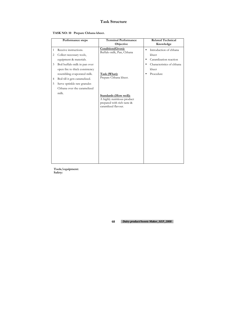### **TASK NO: 10 Prepare Chhana kheer.**

|                | Performance steps              | <b>Terminal Performance</b><br>Objective                                                                         | <b>Related Technical</b><br>Knowledge  |
|----------------|--------------------------------|------------------------------------------------------------------------------------------------------------------|----------------------------------------|
| $\mathbf{1}$   | Receive instructions.          | Condition(Given):                                                                                                | Introduction of chhana<br>$\bullet$    |
| $\overline{2}$ | Collect necessary tools,       | Buffalo milk, Pan, Chhana                                                                                        | kheer                                  |
|                | equipment & materials.         |                                                                                                                  | Caramlization reaction<br>$\bullet$    |
| 3              | Boil buffalo milk in pan over  |                                                                                                                  | Characteristics of chhana<br>$\bullet$ |
|                | open fire to thick consistency |                                                                                                                  | kheer                                  |
|                | resembling evaporated milk.    | Task (What):                                                                                                     | Procedure<br>$\bullet$                 |
| 4              | Boil till it gets caramelized. | Prepare Chhana kheer.                                                                                            |                                        |
| 5              | Serve sprinkle raw granules    |                                                                                                                  |                                        |
|                | Chhana over the caramelized    |                                                                                                                  |                                        |
|                | milk.                          | <b>Standards (How well):</b><br>A highly nutritious product<br>prepared with rich taste &<br>caramlized flavour. |                                        |

**Tools/equipment: Safety:**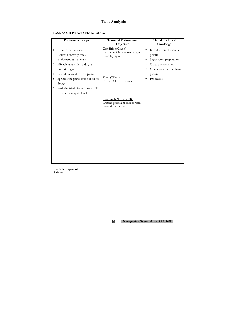# **Task Analysis**

| TASK NO: 11 Prepare Chhana Pakora. |  |  |  |
|------------------------------------|--|--|--|
|------------------------------------|--|--|--|

|                                | Performance steps                                                               | <b>Terminal Performance</b><br>Objective                                           | <b>Related Technical</b><br>Knowledge                                                 |
|--------------------------------|---------------------------------------------------------------------------------|------------------------------------------------------------------------------------|---------------------------------------------------------------------------------------|
| $\mathbf{1}$<br>$\overline{2}$ | Receive instructions.<br>Collect necessary tools,<br>equipment & materials.     | Condition(Given):<br>Pan, ladle, Chhana, maida, gram<br>flour, frying oil.         | Introduction of chhana<br>$\bullet$<br>pokara<br>Sugar syrup preparation<br>$\bullet$ |
| 3                              | Mix Chhana with maida gram<br>flour & sugar.                                    |                                                                                    | Chhana preparation<br>Characteristics of chhana                                       |
| 4<br>5                         | Knead the mixture to a paste.<br>Sprinkle the paste over hot oil for<br>frying. | Task (What):<br>Prepare Chhana Pakora.                                             | pakora<br>Procedure                                                                   |
| 6                              | Soak the fried pieces in sugar till<br>they become quite hard.                  |                                                                                    |                                                                                       |
|                                |                                                                                 | <b>Standards (How well):</b><br>Chhana pokora produced with<br>sweet & rich taste. |                                                                                       |

**Tools/equipment: Safety:**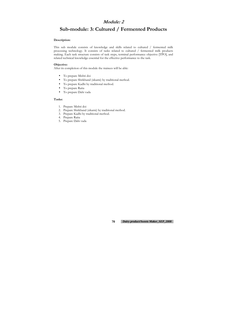### **Module: 2**

# **Sub-module: 3: Cultured / Fermented Products**

#### **Description:**

This sub module consists of knowledge and skills related to cultured / fermented milk processing technology. It consists of tasks related to cultured / fermented milk products making. Each task structure consists of task steps, terminal performance objective [TPO], and related technical knowledge essential for the effective performance to the task.

#### **Objective:**

After its completion of this module the trainees will be able:

- To prepare Mishti doi
- To prepare Shrikhand (sikarni) by traditional method.
- To prepare Kadhi by traditional method.
- To prepare Raita
- To prepare Dahi vada

#### **Tasks:**

- 1. Prepare Mishti doi
- 2. Prepare Shrikhand (sikarni) by traditional method.
- 3. Prepare Kadhi by traditional method.
- 4. Prepare Raita
- 5. Prepare Dahi vada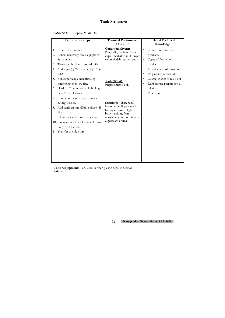### **TASK NO:** 1 **Prepare Misti Doi**

|          | Performance steps                                                                                | <b>Terminal Performance</b><br>Objective                                                                        | <b>Related Technical</b><br>Knowledge                                               |
|----------|--------------------------------------------------------------------------------------------------|-----------------------------------------------------------------------------------------------------------------|-------------------------------------------------------------------------------------|
| 1.<br>2. | Receive instructions.<br>Collect necessary tools, equipment<br>& materials.                      | Condition(Given):<br>Pan, ladle, earthen plastic<br>cups, Incubator, milk, sugar,<br>caramel, dahi, eathen cups | Concept of fermented<br>$\bullet$<br>products<br>Types of fermented<br>$\bullet$    |
| 3.<br>4. | Take cow, buffalo or mixed milk.<br>Add sugar $\omega$ 6% caramel $\omega$ 0.1 to<br>0.12.       |                                                                                                                 | product<br>Introduction of misti doi<br>Preparation of misti doi                    |
| 5.<br>6. | Boil & partially concentrate by<br>simmering over low fire.<br>Hold for 20 minutes while boiling | Task (What):<br>Prepare mishti doi.                                                                             | Characteristics of misti doi<br>Dahi culture preparation &<br>$\bullet$<br>relation |
| 7.       | or at 90 deg Celsius.<br>Cool to ambient temperature or to<br>40 deg Celsius.                    | <b>Standards (How well):</b>                                                                                    | Procedure                                                                           |
| 8.<br>9. | Add lactic culture (Dahi culture) @<br>$1\%$ .<br>Fill in the earthen or plastic cup.            | Fermuted milk produced<br>having creams to light<br>brown colour, firm<br>consistency, smooth texture           |                                                                                     |
|          | 10. Inoculate at 40 deg Celsius till firm<br>body curd has set.                                  | & pleasant aroma.                                                                                               |                                                                                     |
|          | 11. Transfer to cold store.                                                                      |                                                                                                                 |                                                                                     |

**Tools/equipment:** Pan, ladle, earthen plastic cups, Incubator **Safety:**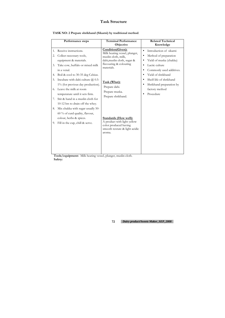**TASK NO: 2 Prepare shrikhand (Sikarni) by traditional method**.

|                            | Performance steps                                                                                                                                                                                                                                                                                                               | <b>Terminal Performance</b><br>Objective                                                                                                         | <b>Related Technical</b><br>Knowledge                                                                                                                                 |
|----------------------------|---------------------------------------------------------------------------------------------------------------------------------------------------------------------------------------------------------------------------------------------------------------------------------------------------------------------------------|--------------------------------------------------------------------------------------------------------------------------------------------------|-----------------------------------------------------------------------------------------------------------------------------------------------------------------------|
| 1.<br>2.<br>3.             | Receive instructions.<br>Collect necessary tools,<br>equipment & materials.<br>Take cow, buffalo or mixed milk<br>in a venal.                                                                                                                                                                                                   | Condition(Given):<br>Milk heating vessel, plunger,<br>muslin cloth, milk,<br>dahi, muslin cloth, sugar &<br>flavouring & colouring<br>materials. | Introduction of sikarni<br>$\bullet$<br>Method of preparation<br>$\bullet$<br>Yield of muska (chakka)<br>Lactic culture<br>$\bullet$<br>Commonly used additives.<br>٠ |
| 4.<br>5.<br>6.<br>7.<br>8. | Boil & cool to 30-35 deg Celsius.<br>Incubate with dahi culture $\omega$ 0.5-<br>1% (for previous day production).<br>Leave the milk at room<br>temperature until it sets firm.<br>Stir & hand in a muslin cloth for<br>10-12 hrs to drain off the whey.<br>Mix chakka with sugar usually 50-<br>60 % of curd quality, flavour, | Task (What):<br>Prepare dahi.<br>Prepare muska.<br>Prepare shrikhand.                                                                            | Yield of shrikhand<br>Shelf-life of shrikhand<br>Shrikhand preparation by<br>factory method<br>Procedure                                                              |
| 9.                         | colour, herbs & spices.<br>Fill in the cup, chill & serve.                                                                                                                                                                                                                                                                      | <b>Standards (How well):</b><br>A product with light yellow<br>color produced having<br>smooth texture & light acidic<br>aroma.                  |                                                                                                                                                                       |

**Tools/equipment:** Milk heating vessel, plunger, muslin cloth. **Safety:**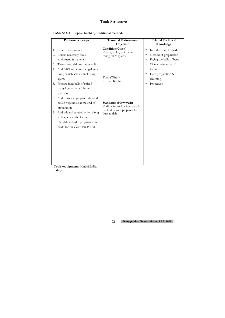| TASK NO: 3 Prepare Kadhi by traditional method. |  |  |  |  |  |
|-------------------------------------------------|--|--|--|--|--|
|-------------------------------------------------|--|--|--|--|--|

|    | Performance steps                 | <b>Terminal Performance</b><br>Objective                      | <b>Related Technical</b><br>Knowledge  |
|----|-----------------------------------|---------------------------------------------------------------|----------------------------------------|
| 1. | Receive instructions.             | <b>Condition(Given):</b><br>Karahi, ladle., dahi, besan,      | Introduction of khadi<br>$\bullet$     |
| 2. | Collect necessary tools,          | frying oil & spices.                                          | Method of preparation<br>$\bullet$     |
|    | equipment & materials             |                                                               | Frying the balls of besan<br>$\bullet$ |
| 3. | Take stirred dahi or butter milk. |                                                               | Characterize taste of<br>$\bullet$     |
| 4. | Add 5-8% of besan (Bengal graw    |                                                               | kadhi                                  |
|    | flour) which acts as thickening   |                                                               | Dahi preparation &<br>$\bullet$        |
|    | agent.                            | Task (What):<br>Prepare Kadhi                                 | churning                               |
| 5. | Prepare fried balls of spiced     |                                                               | Procedure                              |
|    | Bengal graw (besan) butter        |                                                               |                                        |
|    | (pakora).                         |                                                               |                                        |
| 6. | Add pakora as prepared above &    |                                                               |                                        |
|    | boiled vegetables at the end of   | <b>Standards (How well):</b>                                  |                                        |
|    | preparation.                      | Kadhi with milk acidic taste &<br>cooked flavour prepared for |                                        |
| 7. | Add salt and sautéed onion along  | durned dahi.                                                  |                                        |
|    | with spices to the kadhi.         |                                                               |                                        |
| 8. | Use dahi in kadhi preparation is  |                                                               |                                        |
|    | made for milk with 0.8-1% fat.    |                                                               |                                        |
|    |                                   |                                                               |                                        |
|    |                                   |                                                               |                                        |
|    |                                   |                                                               |                                        |
|    |                                   |                                                               |                                        |
|    |                                   |                                                               |                                        |
|    |                                   |                                                               |                                        |
|    |                                   |                                                               |                                        |
|    |                                   |                                                               |                                        |

**Tools/equipment:** Karahi, ladle. **Safety:**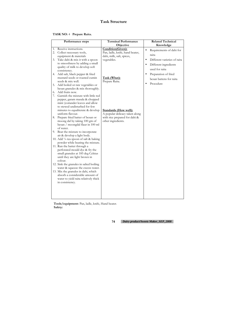### **TASK NO:** 4 **Prepare Raita.**

|          | Performance steps                                                   | <b>Terminal Performance</b><br>Objective | <b>Related Technical</b><br>Knowledge     |
|----------|---------------------------------------------------------------------|------------------------------------------|-------------------------------------------|
| 1.       | Receive instructions.                                               | Condition(Given):                        | $\bullet$                                 |
| 2.       | Collect necessary tools,                                            | Pan, ladle, knife, hand beater,          | Requirements of dahi for                  |
|          | equipment & materials                                               | dahi, milk, salt, spices,                | raita                                     |
| 3.       | Take dahi & mix it with a spoon                                     | vegetables.                              | Different varieties of raita<br>$\bullet$ |
|          | to smoothness by adding a small                                     |                                          | Different ingredients<br>$\bullet$        |
|          | quality of milk to develop soft                                     |                                          | used for raita                            |
|          | consistency.                                                        |                                          |                                           |
| 4.       | Add salt, black pepper & fried                                      |                                          | Preparation of fried<br>$\bullet$         |
|          | mustard seeds or roasted cumin                                      | Task (What):                             | besan battens for raita                   |
|          | seeds & mix well.                                                   | Prepare Raita.                           | Procedure                                 |
| 5.       | Add boiled or raw vegetables or                                     |                                          |                                           |
|          | besan granules & mix thoroughly.<br>Add fruits now.                 |                                          |                                           |
| 6.<br>7. | Garnish the mixture with little red                                 |                                          |                                           |
|          | pepper, garam masala & chopped                                      |                                          |                                           |
|          | mint (coriander leaves and allow                                    |                                          |                                           |
|          | to stewed undisturbed for few                                       |                                          |                                           |
|          | minutes to equaliterate & develop                                   | <b>Standards (How well):</b>             |                                           |
|          | uniform flavour.                                                    | A popular delicacy taken along           |                                           |
| 8.       | Prepare fried batter of besan or                                    | with rice prepared for dahi &            |                                           |
|          | moong dal by taking 100 gm of                                       | other ingredients.                       |                                           |
|          | besan / moongdal flaur in 100 ml                                    |                                          |                                           |
|          | of water.                                                           |                                          |                                           |
|          | 9. Beat the mixture to incorporate                                  |                                          |                                           |
|          | air & develop a light body.                                         |                                          |                                           |
|          | 10. Add 1/4 tea spoon of salt & baking                              |                                          |                                           |
|          | powder while beating the mixture.                                   |                                          |                                           |
|          | 11. Run the batter through a                                        |                                          |                                           |
|          | perforated mould dye & fry the<br>small granules at 185 deg Celsius |                                          |                                           |
|          | until they are light brown in                                       |                                          |                                           |
|          | colour.                                                             |                                          |                                           |
|          | 12. Sink the granules in salted boiling                             |                                          |                                           |
|          | water & squeeze the excess water.                                   |                                          |                                           |
|          | 13. Mix the granules in dahi, which                                 |                                          |                                           |
|          | absorb a considerable amount of                                     |                                          |                                           |
|          | water to yield raita relatively thick                               |                                          |                                           |
|          | in consistency.                                                     |                                          |                                           |
|          |                                                                     |                                          |                                           |
|          |                                                                     |                                          |                                           |
|          |                                                                     |                                          |                                           |
|          |                                                                     |                                          |                                           |

**Tools/equipment:** Pan, ladle, knife, Hand beater. **Safety:**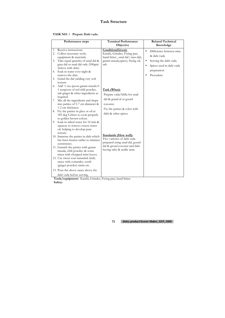### **TASK NO:** 5 **Prepare Dahi vada.**

|                | Performance steps                                                                                                                                                                                                                                                                                                                                                                                                       | <b>Terminal Performance</b><br>Objective                                                                                                                     | <b>Related Technical</b><br>Knowledge                                                                                                                            |
|----------------|-------------------------------------------------------------------------------------------------------------------------------------------------------------------------------------------------------------------------------------------------------------------------------------------------------------------------------------------------------------------------------------------------------------------------|--------------------------------------------------------------------------------------------------------------------------------------------------------------|------------------------------------------------------------------------------------------------------------------------------------------------------------------|
| 1.<br>3.<br>5. | Receive instructions.<br>2. Collect necessary tools,<br>equipment & materials.<br>Take equal quantity of urad dal &<br>grau dal or urad dal only (500gm)<br>(halves with skin).<br>4. Soak in water over night &<br>remove the skin.<br>Grind the dal yielding very soft<br>texture.                                                                                                                                    | Condition(Given):<br>Karahi, Grinder, Frying pan,<br>hand bitter., urad dal (mas dal),<br>garam masala, spices, frying oil,<br>salt                          | Difference between raita<br>$\bullet$<br>& dahi vada<br>Serving the dahi vada.<br>$\bullet$<br>Spices used in dahi vada<br>$\bullet$<br>preparation<br>Procedure |
| 6.             | Add 1/2 tea spoon garam masala 0-<br>1 teaspoon of red chili powder,<br>salt ginger & other ingredients as<br>required.<br>7. Mix all the ingredients and shape<br>into patties of 5-7 cm diameter &<br>1-2 cm thickness.<br>8. Fry the patties in ghee or oil at<br>185 deg Celsius to cook properly<br>to golden brown colour.<br>9. Soak in salted water for 10 min &<br>squeeze to remove excess water              | Task (What):<br>Prepare vada/bhlla for urad<br>dal & grand al or gourd<br>coconut.<br>Fry the patties & color with<br>dahi & other spices.                   |                                                                                                                                                                  |
|                | oil, helping to develop pure<br>texture.<br>10. Immerse the patties in dahi which<br>has been beaten earlier to trimmer<br>consistency.<br>11. Garnish the patties with garam<br>masala, chili powder, & some<br>times with chopped mint leaves.<br>12. Use sweet sour tamarind (imli)<br>sauce with coriander, south<br>(ginger powder) raisin etc.<br>13. Pour the above sauce above the<br>dahi vada before serving. | <b>Standards (How well):</b><br>Two varieties of dahi vada<br>prepared using urad dal, gourd<br>dal & groud coconut and dahi<br>having salty & acidic taste. |                                                                                                                                                                  |

**Tools/equipment:** Karahi, Grinder, Frying pan, hand bitter. **Safety:**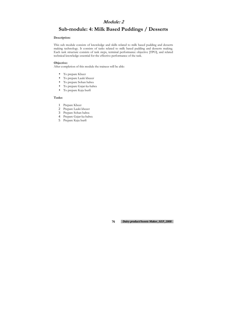## **Module: 2**

# **Sub-module: 4: Milk Based Puddings / Desserts**

#### **Description:**

This sub module consists of knowledge and skills related to milk based pudding and desserts making technology. It consists of tasks related to milk based pudding and desserts making. Each task structure consists of task steps, terminal performance objective [TPO], and related technical knowledge essential for the effective performance of the task.

- To prepare Kheer
- To prepare Lauki kheeer
- To prepare Sohan halwa
- To prepare Gajar-ka-halwa
- To prepare Kaju burfi

#### **Objective:**

After completion of this module the trainees will be able:

#### **Tasks:**

- 1 Prepare Kheer
- 2 Prepare Lauki kheeer
- 3 Prepare Sohan halwa
- 4 Prepare Gajar-ka-halwa
- 5 Prepare Kaju burfi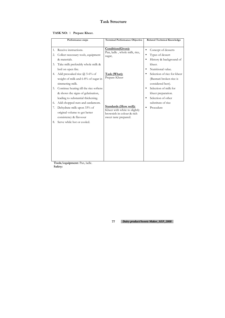### **TASK NO:** 1 **Prepare Kheer.**

|          | Performance steps                                                                                                       | <b>Terminal Performance Objective</b>                                                                              | <b>Related Technical Knowledge</b>                                                           |
|----------|-------------------------------------------------------------------------------------------------------------------------|--------------------------------------------------------------------------------------------------------------------|----------------------------------------------------------------------------------------------|
|          |                                                                                                                         |                                                                                                                    |                                                                                              |
| 1.<br>2. | Receive instructions.<br>Collect necessary tools, equipment<br>& materials.                                             | Condition(Given):<br>Pan, ladle, whole milk, rice,<br>sugar,                                                       | Concept of desserts<br>$\bullet$<br>Types of dessert<br>$\bullet$<br>History & background of |
| 3.       | Take milk preferably whole milk &<br>boil on open fire.                                                                 |                                                                                                                    | kheer.<br>Nutritional value.<br>$\bullet$                                                    |
| 4.       | Add presoaked rice $\omega$ 5-6% of<br>weight of milk and 6-8% of sugar in<br>simmering milk.                           | Task (What):<br>Prepare Kheer                                                                                      | Selection of rice for kheer<br>(Basmati broken rice is<br>considered best).                  |
| 5.       | Continue heating till the rice softens<br>& shows the signs of gelatisation,<br>leading to substantial thickening.      |                                                                                                                    | Selection of milk for<br>$\bullet$<br>kheer preparation.<br>Selection of other<br>$\bullet$  |
| 6.<br>7. | Add chopped nuts and cardamom.<br>Dehydrate milk upon 33% of<br>original volume to get better<br>consistency & flavoour | <b>Standards (How well):</b><br>Kheer with white to slightly<br>brownish in colour & rich<br>sweet taste prepared. | substitute of rice<br>Procedure                                                              |
| 8.       | Serve while hot or cooled.                                                                                              |                                                                                                                    |                                                                                              |
|          |                                                                                                                         |                                                                                                                    |                                                                                              |

**Tools/equipment:** Pan, ladle. **Safety:**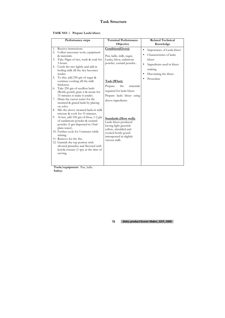### **TASK NO:** 2 **Prepare Lauki kheer.**

|                                              | Performance steps                                                                                                                                                                                                                                                                                                                                                                                                                                                                                                                                                                                                                                                                                                                                                                                                                                                                                                         | <b>Terminal Performance</b><br>Objective                                                                                                                                                                                                                                                                                                                                                                    | <b>Related Technical</b><br>Knowledge                                                                                                                                             |
|----------------------------------------------|---------------------------------------------------------------------------------------------------------------------------------------------------------------------------------------------------------------------------------------------------------------------------------------------------------------------------------------------------------------------------------------------------------------------------------------------------------------------------------------------------------------------------------------------------------------------------------------------------------------------------------------------------------------------------------------------------------------------------------------------------------------------------------------------------------------------------------------------------------------------------------------------------------------------------|-------------------------------------------------------------------------------------------------------------------------------------------------------------------------------------------------------------------------------------------------------------------------------------------------------------------------------------------------------------------------------------------------------------|-----------------------------------------------------------------------------------------------------------------------------------------------------------------------------------|
| 1.<br>3.<br>4.<br>5.<br>6.<br>7.<br>8.<br>9. | Receive instructions.<br>2. Collect necessary tools, equipment<br>& materials.<br>Take 50gm of rice, wash & soak for<br>3 hours.<br>Crush the rice lightly and add in<br>boiling milk till the rice becomes<br>tender.<br>To this, add 250 gm of sugar &<br>continue cooking till the milk<br>thickness.<br>Take 250 gm of seedless lauki<br>(Bottle gourd) grate it & steam for<br>15 minutes is make it tender.<br>Drain the excess water for the<br>steamed & grated lauki by placing<br>on solve.<br>Mix the above steamed lauki in milk<br>mixture & cook for 15 minutes.<br>At last, add 100 gm of khoa, 1-2 gm<br>of cardamom powder & custard<br>powder (5 gm dispersed in 15ml<br>plain water).<br>10. Further cook for 5 minutes while<br>stirring.<br>11. Remove for the fire.<br>12. Garnish the top portion with<br>silvered pistachio and flavored with<br>kewda essence (1 tps) at the time of<br>serving. | Condition(Given):<br>Pan, ladle, milk, sugar,<br>Lauka, khoa, cadamom<br>powder, custard powder<br>Task (What):<br>Prepare<br>the<br>materials<br>required for lauki kheer.<br>Prepare lauki kheer using<br>above ingredients.<br><b>Standards (How well):</b><br>Lauki kheer produced<br>having light greenish<br>yellow, shredded and<br>cooked bottle gourd<br>interspersed in slightly<br>viscous milk. | Importance of Lauki kheer<br>$\bullet$<br>Characteristics of lauki<br>kheer<br>Ingredients used in kheer<br>$\bullet$<br>making<br>Decorating the kheer<br>$\bullet$<br>Procedure |
|                                              |                                                                                                                                                                                                                                                                                                                                                                                                                                                                                                                                                                                                                                                                                                                                                                                                                                                                                                                           |                                                                                                                                                                                                                                                                                                                                                                                                             |                                                                                                                                                                                   |

**Tools/equipment:** Pan, ladle. **Safety:**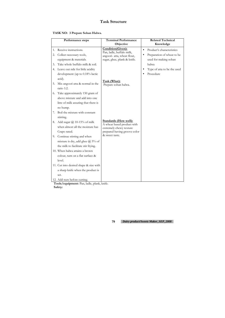|  |  | TASK NO: 3 Prepare Sohan Halwa. |
|--|--|---------------------------------|
|--|--|---------------------------------|

|                | Performance steps                                                                                                                                                                                                                                           | <b>Terminal Performance</b><br>Objective                                                                                                             | <b>Related Technical</b><br>Knowledge                                                                                                                                        |
|----------------|-------------------------------------------------------------------------------------------------------------------------------------------------------------------------------------------------------------------------------------------------------------|------------------------------------------------------------------------------------------------------------------------------------------------------|------------------------------------------------------------------------------------------------------------------------------------------------------------------------------|
| 2.<br>3.<br>5. | 1. Receive instructions.<br>Collect necessary tools,<br>equipment & materials.<br>Take whole buffalo milk & soil.<br>4. Leave out side for little acidity<br>development (up to $0.18\%$ lactic<br>acid).<br>Mix angoori atta & normal in the<br>ratio 1:2. | Condition(Given):<br>Pan, ladle, buffalo milk,<br>angoori- atta, wheat flour,<br>sugar, ghee, plank & knife.<br>Task (What):<br>Prepare sohan halwa. | Product's characteristics<br>$\bullet$<br>Preparation of wheat to be<br>$\bullet$<br>used for making sohan<br>halwa<br>Type of atta to be the used<br>$\bullet$<br>Procedure |
| 6.<br>7.       | Take approximately 150 gram of<br>above mixture and add into one<br>litre of milk assuring that there is<br>no hump.<br>Boil the mixture with constant<br>stirring.                                                                                         |                                                                                                                                                      |                                                                                                                                                                              |
| 8.             | Add sugar $\omega$ 10-15% of milk<br>when almost all the moisture has<br>Crapo rated.<br>9. Continue stirring and when                                                                                                                                      | <b>Standards (How well):</b><br>A wheat based product with<br>extremely chewy texture<br>prepared having groove color<br>& sweet taste.              |                                                                                                                                                                              |
|                | mixture is dry, add ghee $\omega$ 5% of<br>the milk to facilitate stir frying.<br>10. When halwa attains a brown<br>colour, turn on a flat surface &<br>level.                                                                                              |                                                                                                                                                      |                                                                                                                                                                              |
|                | 11. Cut into desired shape & size with<br>a sharp knife when the product is<br>set.<br>12. Add nuts before cutting.                                                                                                                                         |                                                                                                                                                      |                                                                                                                                                                              |

**Tools/equipment:** Pan, ladle, plank, knife. **Safety:**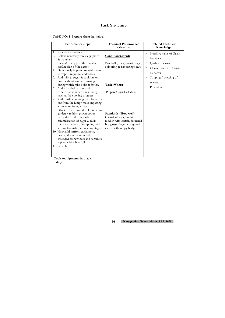### **TASK NO: 4 Prepare Gajar-ka-halwa.**

|          | Performance steps                                                                                                                          | <b>Terminal Performance</b><br>Objective                                                  | <b>Related Technical</b><br>Knowledge                                                 |
|----------|--------------------------------------------------------------------------------------------------------------------------------------------|-------------------------------------------------------------------------------------------|---------------------------------------------------------------------------------------|
| 1.<br>2. | Receive instructions.<br>Collect necessary tools, equipment<br>& materials.                                                                | Condition(Given):                                                                         | Nutritive value of Gajar-<br>ka-halwa                                                 |
| 3.<br>4. | Clean & thinly peal the inedible<br>surface skin of the carrot.<br>Grate finely & pre-cook with steam                                      | Pan, ladle, milk, carrot, sugar,<br>colouring & flavourings, nuts.                        | Quality of carrot.<br>$\bullet$<br>Characteristics of Gajar-<br>$\bullet$<br>ka-halwa |
| 5.       | to import requisite tenderness.<br>Add milk & sugar & cook on low<br>flour with intermittent stirring<br>during which milk boils & froths. | Task (What):                                                                              | Topping $/$ dressing of<br>sweets                                                     |
| 6.       | Add shredded carrots and<br>concentrated milk form a lumpy<br>mass at the cooking progress                                                 | Prepare Gajar-ka-halwa.                                                                   | Procedure                                                                             |
| 7.       | With further cooking, free fat oozes<br>out from the lumpy mass imparting<br>a moderate frying effect.                                     |                                                                                           |                                                                                       |
| 8.       | Observe the colour development to<br>golden / reddish grown coour<br>partly due to the controlled                                          | <b>Standards (How well):</b><br>Gajar-ka-halwa, bright                                    |                                                                                       |
|          | caramelization of sugar & milk.<br>9. Increase the rate of scrapping and<br>stirring towards the finishing stage.                          | reddish with certain darkened<br>but glossy fragrant of grated<br>carrot with lumpy body. |                                                                                       |
|          | 10. Now, add saffron, cardamom,<br>raisins, slivered almonds &<br>shredded cashew nuts and surface is<br>topped with silver foil.          |                                                                                           |                                                                                       |
|          | 11. Serve hot.                                                                                                                             |                                                                                           |                                                                                       |

**Tools/equipment:** Pan, ladle. **Safety:**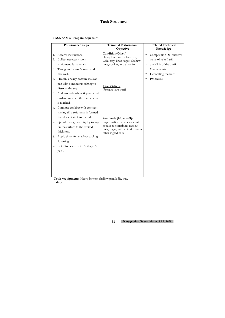### **TASK NO: 5 Prepare Kaju Burfi.**

|          | Performance steps                                                                                                                                                                                                                                                                              | <b>Terminal Performance</b><br>Objective                                                                                                                    | <b>Related Technical</b><br>Knowledge                                                                                                                                   |
|----------|------------------------------------------------------------------------------------------------------------------------------------------------------------------------------------------------------------------------------------------------------------------------------------------------|-------------------------------------------------------------------------------------------------------------------------------------------------------------|-------------------------------------------------------------------------------------------------------------------------------------------------------------------------|
| 2.<br>3. | 1. Receive instructions.<br>Collect necessary tools,<br>equipment & materials.<br>Take grated khoa & sugar and<br>mix well.<br>4. Heat in a heavy bottom shallow<br>pan with continuous stirring to<br>dissolve the sugar.<br>5. Add ground cashew & powdered<br>cardamom when the temperature | Condition(Given):<br>Heavy bottom shallow pan,<br>ladle, tray, khoa sugar. Cashew<br>nuts, cooking oil, silver foil.<br>Task (What):<br>Prepare kaju burfi. | Composition & nutritive<br>$\bullet$<br>value of kaju Barfi<br>Shelf life of the burfi.<br>$\bullet$<br>Cost analysis<br>$\bullet$<br>Decorating the burfi<br>Procedure |
| 7.       | is reached.<br>6. Continue cooking with constant<br>stirring till a soft lump is formed<br>that doesn't stick to the side.<br>Spread over greased try by rolling<br>on the surface to the desired<br>thickness.                                                                                | <b>Standards (How well):</b><br>Kaju Burfi with delicious taste<br>produced containing cashew<br>nuts, sugar, milk solid & certain<br>other ingredients.    |                                                                                                                                                                         |
|          | 8. Apply silver foil & allow cooling<br>& setting.<br>9. Cut into desired size $&$ shape $&$<br>pack.                                                                                                                                                                                          |                                                                                                                                                             |                                                                                                                                                                         |

**Tools/equipment:** Heavy bottom shallow pan, ladle, tray. **Safety:**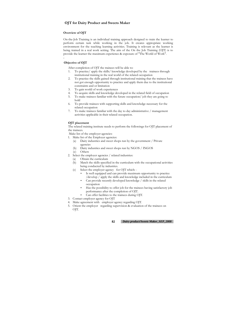### **OJT for Dairy Product and Sweets Maker**

#### **Overview of OJT**

On-the-Job Training is an individual training approach designed to train the learner to perform certain task while working in the job. It creates appropriate working environment for the teaching learning activities. Training is relevant as the learner is being trained in a real work setting. The aim of the On the Job Training (OJT) is to provide the learner the maximum experience & exposure of "The World of Work".

**.** 

#### **Objective of OJT**

After completion of OJT the trainees will be able to:

- 1. To practice/ apply the skills/ knowledge developed by the trainees through institutional training in the real world of the related occupation
- 2. To practice the skills gained through institutional training that the trainees have not got enough opportunity to practice and apply them due to the institutional constraints and or limitation
- 3. To gain world of work experiences
- 4. To acquire skills and knowledge developed in the related field of occupation
- 5. To make trainees familiar with the future occupation/ job they are going to hold
- 6. To provide trainees with supporting skills and knowledge necessary for the related occupation
- 7. To make trainees familiar with the day to day administrative / management activities applicable in their related occupation.

#### **OJT placement**

The related training institute needs to perform the followings for OJT placement of the trainees.

Make list of the employer agencies:

- 1. Make list of the Employer agencies:
	- (a) Dairy industries and sweet shops run by the government / Private agencies
	- (b) Dairy industries and sweet shops run by NGOS / INGOS
	- (c) Others
- 2. Select the employer agencies / related industries:
	- (a) Obtain the curriculum
	- (b) Match the skills specified in the curriculum with the occupational activities being conducted by industries.
	- (c) Select the employer agency for OJT which:
		- Is well equipped and can provide maximum opportunity to practice /develop / apply the skills and knowledge included in the curriculum
		- Can provide recently developed knowledge / skills in the related occupation
		- Has the possibility to offer job for the trainees having satisfactory job performance after the completion of OJT.
		- Can offer facilities to the trainees during OJT.
- 3. Contact employer agency for OJT
- 4. Make agreement with employer agency regarding OJT.
- 5. Orient the employer regarding supervision & evaluation of the trainees on OJT.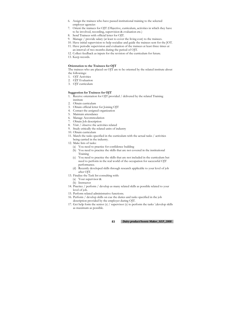#### **83** *Dairy product/Sweets Maker\_SEP\_2008*

- 6. Assign the trainees who have passed institutional training to the selected employer agencies
- 7. Orient the trainees for OJT (Objective, curriculum, activities in which they have to be involved, recording, supervision & evaluation etc.)
- 8. Send Trainees with official letter for OJT.
- 9. Manage / provide salary (at least to cover the living cost) to the trainees.
- 10. Have initial supervision to help socialize and guide the trainees sent for the JOT.
- 11. Have periodic supervision and evaluation of the trainees at least three times at an interval of two months during the period of OJT.
- 12. Collect feedback as inputs for the revision of the curriculum for future.
- 13. Keep records.

#### **Orientation to the Trainees for OJT**

The trainees who are placed on OJT are to be oriented by the related institute about the followings:

- 1. OJT Activities
- 2. OJT Evaluation
- 3. OJT curriculum

#### **Suggestion for Trainees for OJT**

- 1. Receive orientation for OJT provided / delivered by the related Training institute
- 2. Obtain curriculum
- 3. Obtain official letter for Joining OJT
- 4. Contact the assigned organization
- 5. Maintain attendance
- 6. Manage Accommodation
- 7. Obtain Job description
- 8. Visit / observe the activities related
- 9. Study critically the related units of industry
- 10. Obtain curriculum
- 11. Match the tasks specified in the curriculum with the actual tasks / activities being carried in the industry.
- 12. Make lists of tasks:
	- (a) You need to practice for confidence building
	- (b) You need to practice the skills that are not covered in the institutional Training
	- (c) You need to practice the skills that are not included in the curriculum but need to perform in the real world of the occupation for successful OJT performance.
	- (d) Recently developed skills through research applicable to your level of job after OJT.
- 13. Finalize the Task list consulting with:
	- (a) Your supervisor &
	- (b) Instructor
- 14. Practice / perform / develop as many related skills as possible related to your level of job.
- 15. Perform related administrative functions.
- 16. Perform / develop skills on cue the duties and tasks specified in the job description provided by the employer during OJT.
- 17. Get help form the senior (s) / supervisor (s) to perform the tasks \develop skills as maximum as possible.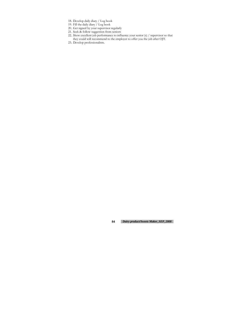- 18. Develop daily diary / Log book
- 19. Fill the daily diary / Log book
- 20. Get signed by your supervisor regularly
- 21. Seek & follow suggestion from seniors
- 22. Show excellent job performance to influence your senior (s) / supervisor so that they could will recommend to the employer to offer you the job after OJT.
- 23. Develop professionalism.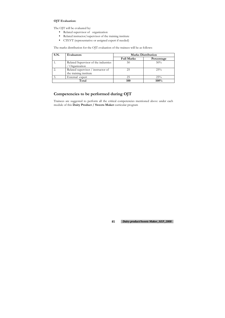### **OJT Evaluation:**

The OJT will be evaluated by:

- Related supervisor of organization
- Related instructor/supervisor of the training institute
- CTEVT (representative or assigned expert if needed)

The marks distribution for the OJT evaluation of the trainees will be as follows:

| S.N.<br>Evaluators |                                                              | <b>Marks Distribution</b> |            |
|--------------------|--------------------------------------------------------------|---------------------------|------------|
|                    |                                                              | <b>Full Marks</b>         | Percentage |
|                    | Related Supervisor of the industries<br>Organization         | 50                        | 50%        |
|                    | Related supervisor / instructor of<br>the training institute | 25                        | 25%        |
|                    | External expert                                              | 25                        | 25%        |
|                    | Total                                                        | 100                       | 100%       |

### **Competencies to be performed during OJT**

Trainees are suggested to perform all the critical competencies mentioned above under each module of this **Dairy Product / Sweets Maker** curricular program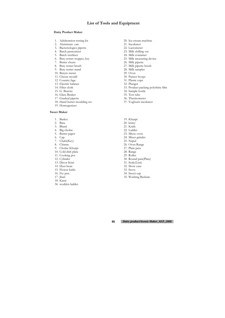### **List of Tools and Equipment**

#### **Dairy Product Maker**

- 1. Adulteration testing kit
- 2. Aluminum can
- 3. Bacteriologies pipette
- 4. Batch pasteurizer
- 5. Batch sterilizer
- 6. Buty renter stopper, key
- 7. Butter churn
- 8. Buty renter brush
- 9. Buty renter stand
- 10. Butyro meter
- 11. Cheese mould
- 12. Country fage
- 13. Electric balance
- 14. Filter cloth
- 15. G. Burette
- 16. Glass Beaker
- 17. Gradual pipette
- 18. Hand butter moulding set
- 19. Homogenizer

#### **Sweet Maker**

- 20. Ice-cream machine
- 21. Incubator
- 22. Lactometer
- 23. Milk chilling vat
- 24. Milk container
- 25. Milk measuring device
- 26. Milk pipette
- 27. Milk pipette brush
- 28. Milk sampler
- 29. Oven
- 30. Paneer hoops
- 31. Plastic cups
- 32. Plunger
- 33. Product packing polythine film
- 34. Sample bottle
- 35. Test tube
- 36. Thermometer
- 37. Yoghurts incubator
- 19. Khurpi
- 20. kistey
- 21. Knife
- 22. Ladder
- 23. Micro oven
- 24. Mixer grinder
- 25. Napul
- 26. Oven Range
- 27. Plain pata
- 28. Range
- 29. Roller
- 30. Round pata(Plate)
- 31. Scale(Listi)
- 32. Show case
- 33. Stove
- 34. Sweet cap
- 35. Washing Bashain.
- 1. Basket
- 2. Bata
- 3. Bhatti
- 4. Big cholne
- 5. Butter paper
- 6. Cap
- 7. Chabi(Key)
- 8. Chimta
- 9. Cholne Khurpi
- 10. Cold dish plate
- 11. Cooking pot
- 12. Cylinder
- 13. Décor Kisti
- 14. Dust bean
- 15. Flower knife.
- 16. Fry pen.
- 17. Jhari
- 18. Karai
- 36. wodden ladder.